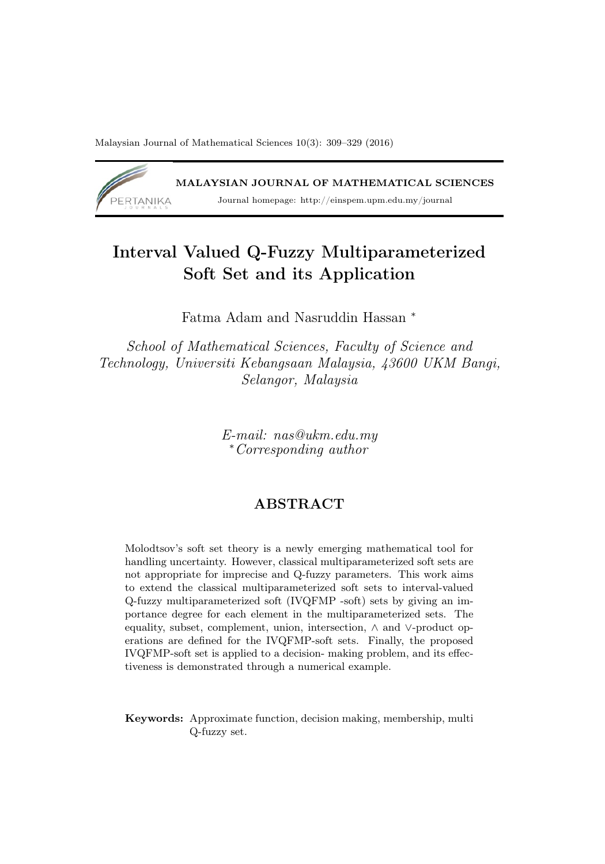Malaysian Journal of Mathematical Sciences 10(3): 309–329 (2016)



# Interval Valued Q-Fuzzy Multiparameterized Soft Set and its Application

Fatma Adam and Nasruddin Hassan <sup>∗</sup>

School of Mathematical Sciences, Faculty of Science and Technology, Universiti Kebangsaan Malaysia, 43600 UKM Bangi, Selangor, Malaysia

> E-mail: nas@ukm.edu.my <sup>∗</sup>Corresponding author

#### **ABSTRACT**

Molodtsov's soft set theory is a newly emerging mathematical tool for handling uncertainty. However, classical multiparameterized soft sets are not appropriate for imprecise and Q-fuzzy parameters. This work aims to extend the classical multiparameterized soft sets to interval-valued Q-fuzzy multiparameterized soft (IVQFMP -soft) sets by giving an importance degree for each element in the multiparameterized sets. The equality, subset, complement, union, intersection, ∧ and ∨-product operations are defined for the IVQFMP-soft sets. Finally, the proposed IVQFMP-soft set is applied to a decision- making problem, and its effectiveness is demonstrated through a numerical example.

Keywords: Approximate function, decision making, membership, multi Q-fuzzy set.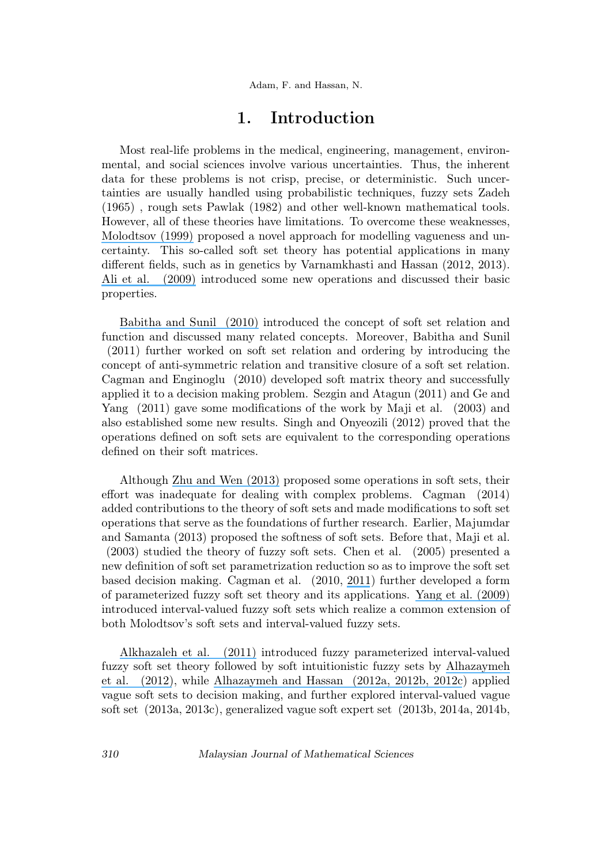## 1. Introduction

Most real-life problems in the medical, engineering, management, environmental, and social sciences involve various uncertainties. Thus, the inherent data for these problems is not crisp, precise, or deterministic. Such uncertainties are usually handled using probabilistic techniques, fuzzy sets Zadeh (1965) , rough sets Pawlak (1982) and other well-known mathematical tools. However, all of these theories have limitations. To overcome these weaknesses, [Molodtsov \(1999\)](https://www.researchgate.net/publication/280757924_Soft_set_theory_-_First_results?el=1_x_8&enrichId=rgreq-a85eaef8a31cb718b8247fb7d0a9a68e-XXX&enrichSource=Y292ZXJQYWdlOzMxMDU1ODk1MDtBUzo0MzA0NTg4OTE3MDYzNzFAMTQ3OTY0MDgwNTYwNg==) proposed a novel approach for modelling vagueness and uncertainty. This so-called soft set theory has potential applications in many different fields, such as in genetics by Varnamkhasti and Hassan (2012, 2013). [Ali et al. \(2009\)](https://www.researchgate.net/publication/220510798_On_some_new_operations_in_soft_set_theory?el=1_x_8&enrichId=rgreq-a85eaef8a31cb718b8247fb7d0a9a68e-XXX&enrichSource=Y292ZXJQYWdlOzMxMDU1ODk1MDtBUzo0MzA0NTg4OTE3MDYzNzFAMTQ3OTY0MDgwNTYwNg==) introduced some new operations and discussed their basic properties.

[Babitha and Sunil \(2010\)](https://www.researchgate.net/publication/209914133_Soft_set_relations_and_functions?el=1_x_8&enrichId=rgreq-a85eaef8a31cb718b8247fb7d0a9a68e-XXX&enrichSource=Y292ZXJQYWdlOzMxMDU1ODk1MDtBUzo0MzA0NTg4OTE3MDYzNzFAMTQ3OTY0MDgwNTYwNg==) introduced the concept of soft set relation and function and discussed many related concepts. Moreover, Babitha and Sunil (2011) further worked on soft set relation and ordering by introducing the concept of anti-symmetric relation and transitive closure of a soft set relation. Cagman and Enginoglu (2010) developed soft matrix theory and successfully applied it to a decision making problem. Sezgin and Atagun (2011) and Ge and Yang (2011) gave some modifications of the work by Maji et al. (2003) and also established some new results. Singh and Onyeozili (2012) proved that the operations defined on soft sets are equivalent to the corresponding operations defined on their soft matrices.

Although [Zhu and Wen \(2013\)](https://www.researchgate.net/publication/224951737_Operations_on_Soft_Sets_Revisited?el=1_x_8&enrichId=rgreq-a85eaef8a31cb718b8247fb7d0a9a68e-XXX&enrichSource=Y292ZXJQYWdlOzMxMDU1ODk1MDtBUzo0MzA0NTg4OTE3MDYzNzFAMTQ3OTY0MDgwNTYwNg==) proposed some operations in soft sets, their effort was inadequate for dealing with complex problems. Cagman (2014) added contributions to the theory of soft sets and made modifications to soft set operations that serve as the foundations of further research. Earlier, Majumdar and Samanta (2013) proposed the softness of soft sets. Before that, Maji et al. (2003) studied the theory of fuzzy soft sets. Chen et al. (2005) presented a new definition of soft set parametrization reduction so as to improve the soft set based decision making. Cagman et al. (2010, [2011](https://www.researchgate.net/publication/284689954_FP-soft_set_theory_and_its_applications?el=1_x_8&enrichId=rgreq-a85eaef8a31cb718b8247fb7d0a9a68e-XXX&enrichSource=Y292ZXJQYWdlOzMxMDU1ODk1MDtBUzo0MzA0NTg4OTE3MDYzNzFAMTQ3OTY0MDgwNTYwNg==)) further developed a form of parameterized fuzzy soft set theory and its applications. [Yang et al. \(2009\)](https://www.researchgate.net/publication/220511052_Combination_of_interval-valued_fuzzy_set_and_soft_set?el=1_x_8&enrichId=rgreq-a85eaef8a31cb718b8247fb7d0a9a68e-XXX&enrichSource=Y292ZXJQYWdlOzMxMDU1ODk1MDtBUzo0MzA0NTg4OTE3MDYzNzFAMTQ3OTY0MDgwNTYwNg==) introduced interval-valued fuzzy soft sets which realize a common extension of both Molodtsov's soft sets and interval-valued fuzzy sets.

[Alkhazaleh et al. \(2011\)](https://www.researchgate.net/publication/235631541_Fuzzy_parameterized_interval-valued_fuzzy_soft_set?el=1_x_8&enrichId=rgreq-a85eaef8a31cb718b8247fb7d0a9a68e-XXX&enrichSource=Y292ZXJQYWdlOzMxMDU1ODk1MDtBUzo0MzA0NTg4OTE3MDYzNzFAMTQ3OTY0MDgwNTYwNg==) introduced fuzzy parameterized interval-valued fuzzy soft set theory followed by soft intuitionistic fuzzy sets by [Alhazaymeh](https://www.researchgate.net/publication/235631431_Soft_Intuitionistic_Fuzzy_Sets?el=1_x_8&enrichId=rgreq-a85eaef8a31cb718b8247fb7d0a9a68e-XXX&enrichSource=Y292ZXJQYWdlOzMxMDU1ODk1MDtBUzo0MzA0NTg4OTE3MDYzNzFAMTQ3OTY0MDgwNTYwNg==) [et al. \(2012\)](https://www.researchgate.net/publication/235631431_Soft_Intuitionistic_Fuzzy_Sets?el=1_x_8&enrichId=rgreq-a85eaef8a31cb718b8247fb7d0a9a68e-XXX&enrichSource=Y292ZXJQYWdlOzMxMDU1ODk1MDtBUzo0MzA0NTg4OTE3MDYzNzFAMTQ3OTY0MDgwNTYwNg==), while [Alhazaymeh and Hassan \(2012a](https://www.researchgate.net/publication/235631414_Generalized_Vague_Soft_Set_and_Its_Application?el=1_x_8&enrichId=rgreq-a85eaef8a31cb718b8247fb7d0a9a68e-XXX&enrichSource=Y292ZXJQYWdlOzMxMDU1ODk1MDtBUzo0MzA0NTg4OTE3MDYzNzFAMTQ3OTY0MDgwNTYwNg==)[, 2012b](https://www.researchgate.net/publication/235684222_Interval-Valued_Vague_Soft_Sets_and_Its_Application?el=1_x_8&enrichId=rgreq-a85eaef8a31cb718b8247fb7d0a9a68e-XXX&enrichSource=Y292ZXJQYWdlOzMxMDU1ODk1MDtBUzo0MzA0NTg4OTE3MDYzNzFAMTQ3OTY0MDgwNTYwNg==)[, 2012c](https://www.researchgate.net/publication/235631402_Possibility_Vague_Soft_Set_and_Its_Application_In_Decision_Making?el=1_x_8&enrichId=rgreq-a85eaef8a31cb718b8247fb7d0a9a68e-XXX&enrichSource=Y292ZXJQYWdlOzMxMDU1ODk1MDtBUzo0MzA0NTg4OTE3MDYzNzFAMTQ3OTY0MDgwNTYwNg==)) applied vague soft sets to decision making, and further explored interval-valued vague soft set (2013a, 2013c), generalized vague soft expert set (2013b, 2014a, 2014b,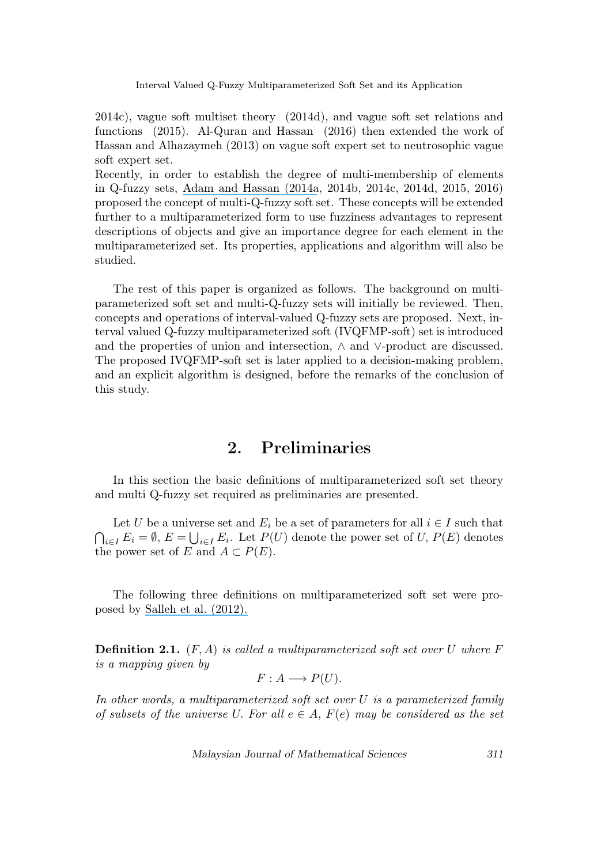2014c), vague soft multiset theory (2014d), and vague soft set relations and functions (2015). Al-Quran and Hassan (2016) then extended the work of Hassan and Alhazaymeh (2013) on vague soft expert set to neutrosophic vague soft expert set.

Recently, in order to establish the degree of multi-membership of elements in Q-fuzzy sets, [Adam and Hassan \(2014a](https://www.researchgate.net/publication/263300093_Q-fuzzy_soft_matrix_and_its_application?el=1_x_8&enrichId=rgreq-a85eaef8a31cb718b8247fb7d0a9a68e-XXX&enrichSource=Y292ZXJQYWdlOzMxMDU1ODk1MDtBUzo0MzA0NTg4OTE3MDYzNzFAMTQ3OTY0MDgwNTYwNg==), 2014b, 2014c, 2014d, 2015, 2016) proposed the concept of multi-Q-fuzzy soft set. These concepts will be extended further to a multiparameterized form to use fuzziness advantages to represent descriptions of objects and give an importance degree for each element in the multiparameterized set. Its properties, applications and algorithm will also be studied.

The rest of this paper is organized as follows. The background on multiparameterized soft set and multi-Q-fuzzy sets will initially be reviewed. Then, concepts and operations of interval-valued Q-fuzzy sets are proposed. Next, interval valued Q-fuzzy multiparameterized soft (IVQFMP-soft) set is introduced and the properties of union and intersection, ∧ and ∨-product are discussed. The proposed IVQFMP-soft set is later applied to a decision-making problem, and an explicit algorithm is designed, before the remarks of the conclusion of this study.

## 2. Preliminaries

In this section the basic definitions of multiparameterized soft set theory and multi Q-fuzzy set required as preliminaries are presented.

Let U be a universe set and  $E_i$  be a set of parameters for all  $i \in I$  such that  $\bigcap_{i\in I} E_i = \emptyset$ ,  $E = \bigcup_{i\in I} E_i$ . Let  $P(U)$  denote the power set of U,  $P(E)$  denotes the power set of E and  $A \subset P(E)$ .

The following three definitions on multiparameterized soft set were proposed by [Salleh et al. \(2012\).](https://www.researchgate.net/publication/280835769_Multiparameterized_soft_set?el=1_x_8&enrichId=rgreq-a85eaef8a31cb718b8247fb7d0a9a68e-XXX&enrichSource=Y292ZXJQYWdlOzMxMDU1ODk1MDtBUzo0MzA0NTg4OTE3MDYzNzFAMTQ3OTY0MDgwNTYwNg==)

**Definition 2.1.**  $(F, A)$  is called a multiparameterized soft set over U where F is a mapping given by

$$
F: A \longrightarrow P(U).
$$

In other words, a multiparameterized soft set over U is a parameterized family of subsets of the universe U. For all  $e \in A$ ,  $F(e)$  may be considered as the set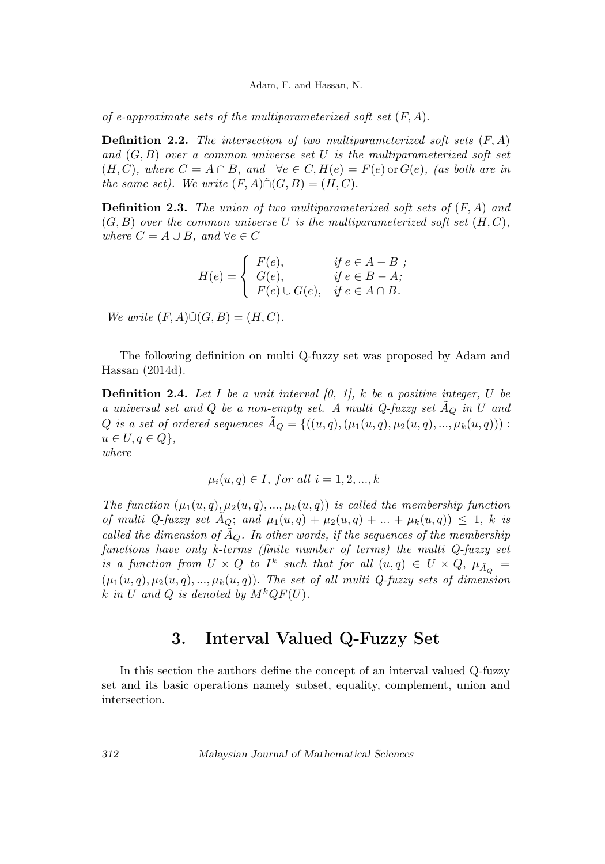of e-approximate sets of the multiparameterized soft set  $(F, A)$ .

**Definition 2.2.** The intersection of two multiparameterized soft sets  $(F, A)$ and  $(G, B)$  over a common universe set U is the multiparameterized soft set  $(H, C)$ , where  $C = A \cap B$ , and  $\forall e \in C, H(e) = F(e)$  or  $G(e)$ , (as both are in the same set). We write  $(F, A) \tilde{\cap} (G, B) = (H, C)$ .

**Definition 2.3.** The union of two multiparameterized soft sets of  $(F, A)$  and  $(G, B)$  over the common universe U is the multiparameterized soft set  $(H, C)$ , where  $C = A \cup B$ , and  $\forall e \in C$ 

$$
H(e) = \begin{cases} F(e), & \text{if } e \in A - B ; \\ G(e), & \text{if } e \in B - A; \\ F(e) \cup G(e), & \text{if } e \in A \cap B. \end{cases}
$$

We write  $(F, A)\tilde{\cup}(G, B) = (H, C)$ .

The following definition on multi Q-fuzzy set was proposed by Adam and Hassan (2014d).

**Definition 2.4.** Let I be a unit interval  $[0, 1]$ , k be a positive integer, U be a universal set and  $Q$  be a non-empty set. A multi  $Q$ -fuzzy set  $A_Q$  in  $U$  and Q is a set of ordered sequences  $\tilde{A}_Q = \{((u, q), (\mu_1(u, q), \mu_2(u, q), ..., \mu_k(u, q))) :$  $u \in U, q \in Q$ , where

$$
\mu_i(u, q) \in I
$$
, for all  $i = 1, 2, ..., k$ 

The function  $(\mu_1(u,q), \mu_2(u,q), ..., \mu_k(u,q))$  is called the membership function of multi Q-fuzzy set  $A_Q$ ; and  $\mu_1(u,q) + \mu_2(u,q) + \ldots + \mu_k(u,q) \leq 1$ , k is called the dimension of  $\tilde{A}_Q$ . In other words, if the sequences of the membership functions have only k-terms (finite number of terms) the multi Q-fuzzy set is a function from  $U \times Q$  to  $I^k$  such that for all  $(u,q) \in U \times Q$ ,  $\mu_{\tilde{A}_Q} =$  $(\mu_1(u,q), \mu_2(u,q), ..., \mu_k(u,q))$ . The set of all multi Q-fuzzy sets of dimension k in U and Q is denoted by  $M^k QF(U)$ .

## 3. Interval Valued Q-Fuzzy Set

In this section the authors define the concept of an interval valued Q-fuzzy set and its basic operations namely subset, equality, complement, union and intersection.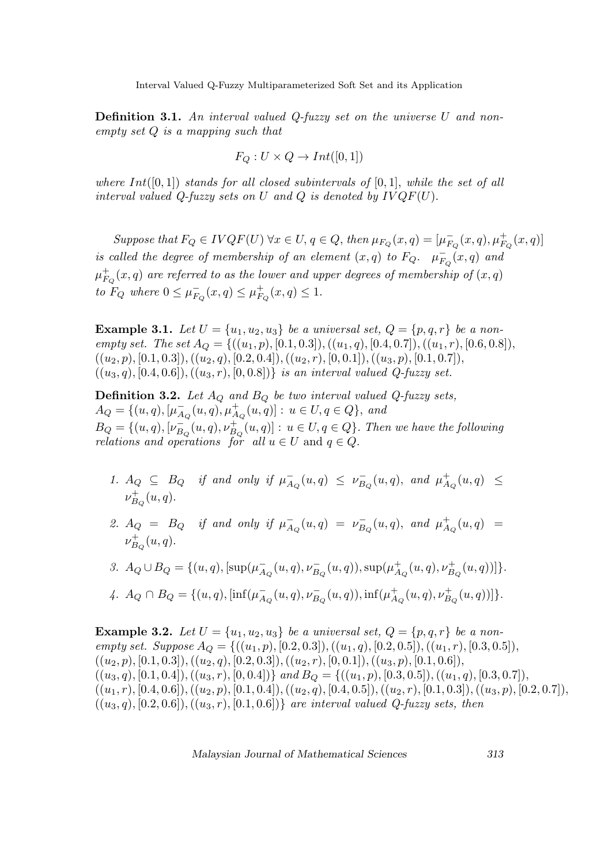**Definition 3.1.** An interval valued Q-fuzzy set on the universe  $U$  and nonempty set Q is a mapping such that

$$
F_Q: U \times Q \to Int([0,1])
$$

where  $Int([0,1])$  stands for all closed subintervals of  $[0,1]$ , while the set of all interval valued Q-fuzzy sets on U and Q is denoted by  $IVQF(U)$ .

Suppose that  $F_Q \in IVQF(U)$   $\forall x \in U, q \in Q$ , then  $\mu_{F_Q}(x,q) = [\mu_{F_Q}^-(x,q), \mu_{F_Q}^+(x,q)]$ is called the degree of membership of an element  $(x,q)$  to  $F_Q$ .  $\mu_{F_Q}^-(x,q)$  and  $\mu_{F_Q}^+(x,q)$  are referred to as the lower and upper degrees of membership of  $(x,q)$ to  $F_Q$  where  $0 \leq \mu_{F_Q}^-(x,q) \leq \mu_{F_Q}^+(x,q) \leq 1$ .

**Example 3.1.** Let  $U = \{u_1, u_2, u_3\}$  be a universal set,  $Q = \{p, q, r\}$  be a nonempty set. The set  $A_Q = \{((u_1, p), [0.1, 0.3]), ((u_1, q), [0.4, 0.7]), ((u_1, r), [0.6, 0.8]),$  $((u_2, p), [0.1, 0.3]), ((u_2, q), [0.2, 0.4]), ((u_2, r), [0, 0.1]), ((u_3, p), [0.1, 0.7]),$  $((u_3, q), [0.4, 0.6]), ((u_3, r), [0, 0.8])\}$  is an interval valued Q-fuzzy set.

**Definition 3.2.** Let  $A_Q$  and  $B_Q$  be two interval valued Q-fuzzy sets,  $A_Q = \{(u, q), [\mu_{A_Q}^-(u, q), \mu_{A_Q}^+(u, q)] : u \in U, q \in Q\}$ , and  $B_Q = \{(u, q), [\nu_{B_Q}^-(u, q), \nu_{B_Q}^+(u, q)] : u \in U, q \in Q\}$ . Then we have the following relations and operations for all  $u \in U$  and  $q \in Q$ .

- 1.  $A_Q \subseteq B_Q$  if and only if  $\mu_{A_Q}^-(u,q) \leq \nu_{B_Q}^-(u,q)$ , and  $\mu_{A_Q}^+(u,q) \leq$  $\nu_{B_Q}^+(u,q)$ .
- 2.  $A_Q = B_Q$  if and only if  $\mu_{A_Q}^-(u, q) = \nu_{B_Q}^-(u, q)$ , and  $\mu_{A_Q}^+(u, q) =$  $\nu_{B_Q}^+(u,q)$ .

3. 
$$
A_Q \cup B_Q = \{(u, q), [\sup(\mu_{A_Q}^-(u, q), \nu_{B_Q}^-(u, q)), \sup(\mu_{A_Q}^+(u, q), \nu_{B_Q}^+(u, q))]\}.
$$

$$
\label{eq:q} \text{4. } A_Q \cap B_Q = \{(u,q), [\inf(\mu_{A_Q}^-(u,q),\nu_{B_Q}^-(u,q)), \inf(\mu_{A_Q}^+(u,q),\nu_{B_Q}^+(u,q))]\}.
$$

**Example 3.2.** Let  $U = \{u_1, u_2, u_3\}$  be a universal set,  $Q = \{p, q, r\}$  be a nonempty set. Suppose  $A_{\mathcal{Q}} = \{((u_1, p), [0.2, 0.3]), ((u_1, q), [0.2, 0.5]), ((u_1, r), [0.3, 0.5]),$  $((u_2, p), [0.1, 0.3]), ((u_2, q), [0.2, 0.3]), ((u_2, r), [0, 0.1]), ((u_3, p), [0.1, 0.6]),$  $((u_3, q), [0.1, 0.4]), ((u_3, r), [0, 0.4])$  and  $B_Q = \{((u_1, p), [0.3, 0.5]), ((u_1, q), [0.3, 0.7]),$  $((u_1, r), [0.4, 0.6]), ((u_2, p), [0.1, 0.4]), ((u_2, q), [0.4, 0.5]), ((u_2, r), [0.1, 0.3]), ((u_3, p), [0.2, 0.7]),$  $((u_3, q), [0.2, 0.6]), ((u_3, r), [0.1, 0.6])$  are interval valued Q-fuzzy sets, then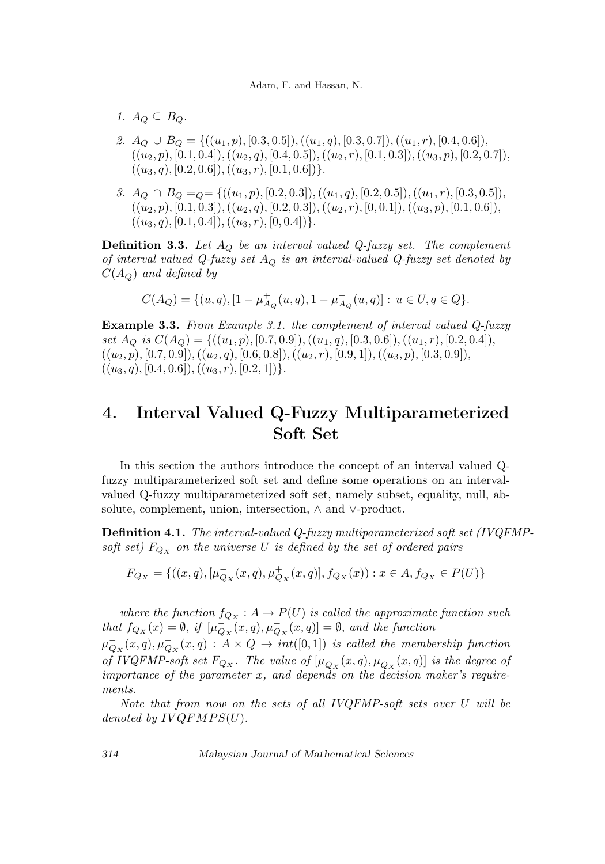1.  $A_O \subseteq B_O$ .

ments.

- 2.  $A_Q \cup B_Q = \{((u_1, p), [0.3, 0.5]), ((u_1, q), [0.3, 0.7]), ((u_1, r), [0.4, 0.6]),$  $((u_2, p), [0.1, 0.4]), ((u_2, q), [0.4, 0.5]), ((u_2, r), [0.1, 0.3]), ((u_3, p), [0.2, 0.7]),$  $((u_3, q), [0.2, 0.6]), ((u_3, r), [0.1, 0.6])\}.$
- 3.  $A_Q \cap B_Q =_q = \{((u_1, p), [0.2, 0.3]), ((u_1, q), [0.2, 0.5]), ((u_1, r), [0.3, 0.5]),$  $((u_2, p), [0.1, 0.3]), ((u_2, q), [0.2, 0.3]), ((u_2, r), [0, 0.1]), ((u_3, p), [0.1, 0.6]),$  $((u_3, q), [0.1, 0.4]), ((u_3, r), [0, 0.4])\}.$

**Definition 3.3.** Let  $A_Q$  be an interval valued Q-fuzzy set. The complement of interval valued Q-fuzzy set  $A_Q$  is an interval-valued Q-fuzzy set denoted by  $C(A_O)$  and defined by

$$
C(A_Q) = \{(u, q), [1 - \mu_{A_Q}^+(u, q), 1 - \mu_{A_Q}^-(u, q)] : u \in U, q \in Q\}.
$$

Example 3.3. From Example 3.1. the complement of interval valued Q-fuzzy set  $A_Q$  is  $C(A_Q) = \{((u_1, p), [0.7, 0.9]), ((u_1, q), [0.3, 0.6]), ((u_1, r), [0.2, 0.4]),$  $((u_2, p), [0.7, 0.9]), ((u_2, q), [0.6, 0.8]), ((u_2, r), [0.9, 1]), ((u_3, p), [0.3, 0.9]),$  $((u_3, q), [0.4, 0.6]), ((u_3, r), [0.2, 1])\}.$ 

## 4. Interval Valued Q-Fuzzy Multiparameterized Soft Set

In this section the authors introduce the concept of an interval valued Qfuzzy multiparameterized soft set and define some operations on an intervalvalued Q-fuzzy multiparameterized soft set, namely subset, equality, null, absolute, complement, union, intersection, ∧ and ∨-product.

Definition 4.1. The interval-valued Q-fuzzy multiparameterized soft set (IVQFMPsoft set)  $F_{Q_X}$  on the universe U is defined by the set of ordered pairs

$$
F_{Q_X}=\{((x,q),[\mu^-_{Q_X}(x,q),\mu^+_{Q_X}(x,q)],f_{Q_X}(x)):x\in A,f_{Q_X}\in P(U)\}
$$

where the function  $f_{Q_X}: A \to P(U)$  is called the approximate function such that  $f_{Q_X}(x) = \emptyset$ , if  $[\mu_{Q_X}^-(x, q), \mu_{Q_X}^+(x, q)] = \emptyset$ , and the function  $\mu_{Q_X}^-(x,q), \mu_{Q_X}^+(x,q) : A \times Q \to int([0,1])$  is called the membership function of IVQFMP-soft set  $F_{Q_X}$ . The value of  $[\mu_{Q_X}^-(x,q), \mu_{Q_X}^+(x,q)]$  is the degree of importance of the parameter  $x$ , and depends on the decision maker's require-

Note that from now on the sets of all IVQFMP-soft sets over U will be denoted by  $IVQFMPS(U)$ .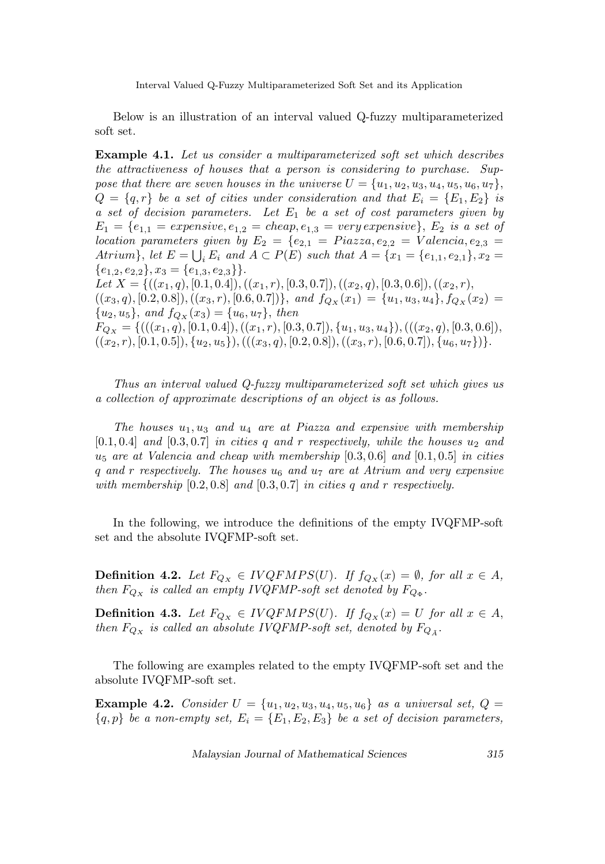Below is an illustration of an interval valued Q-fuzzy multiparameterized soft set.

Example 4.1. Let us consider a multiparameterized soft set which describes the attractiveness of houses that a person is considering to purchase. Suppose that there are seven houses in the universe  $U = \{u_1, u_2, u_3, u_4, u_5, u_6, u_7\},\$  $Q = \{q, r\}$  be a set of cities under consideration and that  $E_i = \{E_1, E_2\}$  is a set of decision parameters. Let  $E_1$  be a set of cost parameters given by  $E_1 = \{e_{1,1} =$  expensive,  $e_{1,2} =$  cheap,  $e_{1,3} =$  very expensive},  $E_2$  is a set of location parameters given by  $E_2 = \{e_{2,1} = \text{P}iazza, e_{2,2} = \text{V}alencia, e_{2,3} = \}$ Atrium}, let  $E = \bigcup_i E_i$  and  $A \subset P(E)$  such that  $A = \{x_1 = \{e_{1,1}, e_{2,1}\}, x_2 =$  ${e_{1,2}, e_{2,2}}, x_3 = {e_{1,3}, e_{2,3}}.$ Let  $X = \{((x_1, q), [0.1, 0.4]), ((x_1, r), [0.3, 0.7]), ((x_2, q), [0.3, 0.6]), ((x_2, r),$  $((x_3, q), [0.2, 0.8]), ((x_3, r), [0.6, 0.7])\},$  and  $f_{Q_X}(x_1) = \{u_1, u_3, u_4\}, f_{Q_X}(x_2) =$  ${u_2, u_5}, \text{ and } f_{Q_X}(x_3) = {u_6, u_7}, \text{ then}$  $F_{Q_X} = \{(((x_1, q), [0.1, 0.4]), ((x_1, r), [0.3, 0.7]), (u_1, u_3, u_4]), (((x_2, q), [0.3, 0.6]),$  $((x_2, r), [0.1, 0.5]), \{u_2, u_5\}),((x_3, q), [0.2, 0.8]),((x_3, r), [0.6, 0.7]), \{u_6, u_7\})\}.$ 

Thus an interval valued Q-fuzzy multiparameterized soft set which gives us a collection of approximate descriptions of an object is as follows.

The houses  $u_1, u_3$  and  $u_4$  are at Piazza and expensive with membership  $[0.1, 0.4]$  and  $[0.3, 0.7]$  in cities q and r respectively, while the houses  $u_2$  and  $u_5$  are at Valencia and cheap with membership  $[0.3, 0.6]$  and  $[0.1, 0.5]$  in cities q and r respectively. The houses  $u_6$  and  $u_7$  are at Atrium and very expensive with membership  $[0.2, 0.8]$  and  $[0.3, 0.7]$  in cities q and r respectively.

In the following, we introduce the definitions of the empty IVQFMP-soft set and the absolute IVQFMP-soft set.

**Definition 4.2.** Let  $F_{Qx} \in IVQFMPS(U)$ . If  $f_{Qx}(x) = \emptyset$ , for all  $x \in A$ , then  $F_{Q_X}$  is called an empty IVQFMP-soft set denoted by  $F_{Q_{\Phi}}$ .

**Definition 4.3.** Let  $F_{Q_X} \in IVQFMPS(U)$ . If  $f_{Q_X}(x) = U$  for all  $x \in A$ , then  $F_{Q_X}$  is called an absolute IVQFMP-soft set, denoted by  $F_{Q_{\tilde{A}}}$ .

The following are examples related to the empty IVQFMP-soft set and the absolute IVQFMP-soft set.

**Example 4.2.** Consider  $U = \{u_1, u_2, u_3, u_4, u_5, u_6\}$  as a universal set,  $Q =$  ${q, p}$  be a non-empty set,  $E_i = {E_1, E_2, E_3}$  be a set of decision parameters,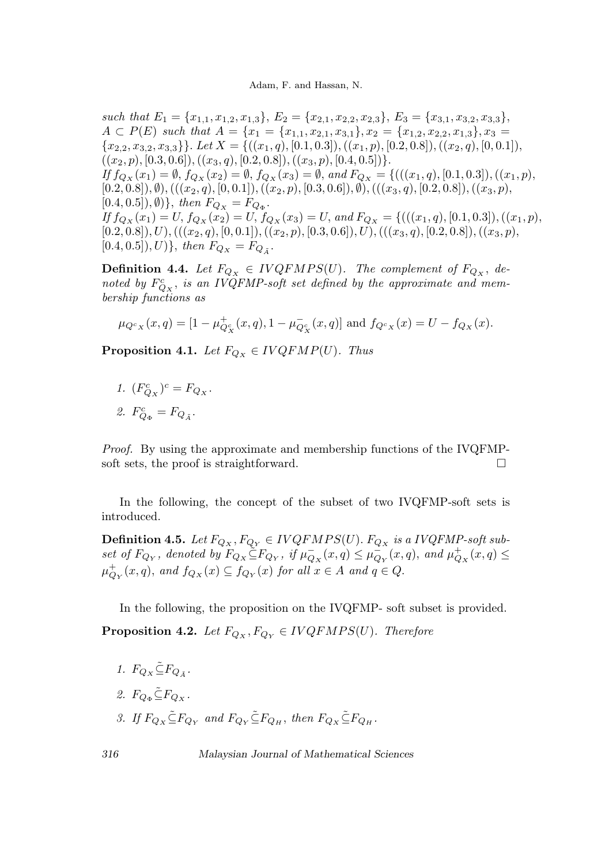such that  $E_1 = \{x_{1,1}, x_{1,2}, x_{1,3}\}, E_2 = \{x_{2,1}, x_{2,2}, x_{2,3}\}, E_3 = \{x_{3,1}, x_{3,2}, x_{3,3}\},$  $A \subset P(E)$  such that  $A = \{x_1 = \{x_{1,1}, x_{2,1}, x_{3,1}\}, x_2 = \{x_{1,2}, x_{2,2}, x_{1,3}\}, x_3 =$  ${x_{2,2}, x_{3,2}, x_{3,3}}. Let X = {((x_1, q), [0.1, 0.3]), ((x_1, p), [0.2, 0.8]), ((x_2, q), [0, 0.1]),}$  $((x_2, p), [0.3, 0.6]), ((x_3, q), [0.2, 0.8]), ((x_3, p), [0.4, 0.5])\}.$ If  $f_{Q_X}(x_1) = \emptyset$ ,  $f_{Q_X}(x_2) = \emptyset$ ,  $f_{Q_X}(x_3) = \emptyset$ , and  $F_{Q_X} = \{(((x_1, q), [0.1, 0.3]), ((x_1, p),$  $[0.2, 0.8]), \emptyset),((x_2, q), [0, 0.1]),((x_2, p), [0.3, 0.6]), \emptyset),((x_3, q), [0.2, 0.8]),((x_3, p),$  $[0.4, 0.5]), \emptyset) \}, \ then \ F_{Q_X} = F_{Q_{\Phi}}.$ If  $f_{Q_X}(x_1) = U$ ,  $f_{Q_X}(x_2) = U$ ,  $f_{Q_X}(x_3) = U$ , and  $F_{Q_X} = \{(((x_1, q), [0.1, 0.3]), ((x_1, p),$  $[0.2, 0.8]), U), (((x_2, q), [0, 0.1]), ((x_2, p), [0.3, 0.6]), U), (((x_3, q), [0.2, 0.8]), ((x_3, p),$  $[0.4, 0.5]), U$ , then  $F_{Q_X} = F_{Q_{\tilde{A}}}$ .

**Definition 4.4.** Let  $F_{Q_X} \in IVQFMPS(U)$ . The complement of  $F_{Q_X}$ , denoted by  $F_{Q_X}^c$ , is an IVQFMP-soft set defined by the approximate and membership functions as

$$
\mu_{Q^c_X}(x,q)=[1-\mu^+_{Q^c_X}(x,q),1-\mu^-_{Q^c_X}(x,q)]\text{ and }f_{Q^c_X}(x)=U-f_{Q_X}(x).
$$

**Proposition 4.1.** Let  $F_{Q_X} \in IVQFMP(U)$ . Thus

1.  $(F_{Q_X}^c)^c = F_{Q_X}.$ 

$$
\mathcal{Z}. \ \ F^c_{Q_\Phi} = F_{Q_{\tilde{A}}}.
$$

Proof. By using the approximate and membership functions of the IVQFMPsoft sets, the proof is straightforward.

In the following, the concept of the subset of two IVQFMP-soft sets is introduced.

**Definition 4.5.** Let  $F_{Q_X}, F_{Q_Y} \in IVQFMPS(U)$ .  $F_{Q_X}$  is a IVQFMP-soft subset of  $F_{Q_Y}$ , denoted by  $F_{Q_X} \leq F_{Q_Y}$ , if  $\mu_{Q_X}^-(x,q) \leq \mu_{Q_Y}^-(x,q)$ , and  $\mu_{Q_X}^+(x,q) \leq$  $\mu_{Q_Y}^+(x,q)$ , and  $f_{Q_X}(x) \subseteq f_{Q_Y}(x)$  for all  $x \in A$  and  $q \in Q$ .

In the following, the proposition on the IVQFMP- soft subset is provided. **Proposition 4.2.** Let  $F_{Q_X}, F_{Q_Y} \in IVQFMPS(U)$ . Therefore

1. 
$$
F_{Q_X} \tilde{\subseteq} F_{Q_{\tilde{A}}}.
$$

- 2.  $F_{O_{\Phi}} \widetilde{\subseteq} F_{O_X}$ .
- 3. If  $F_{Q_Y} \tilde{\subseteq} F_{Q_Y}$  and  $F_{Q_Y} \tilde{\subseteq} F_{Q_H}$ , then  $F_{Q_Y} \tilde{\subseteq} F_{Q_H}$ .

$$
^{316}
$$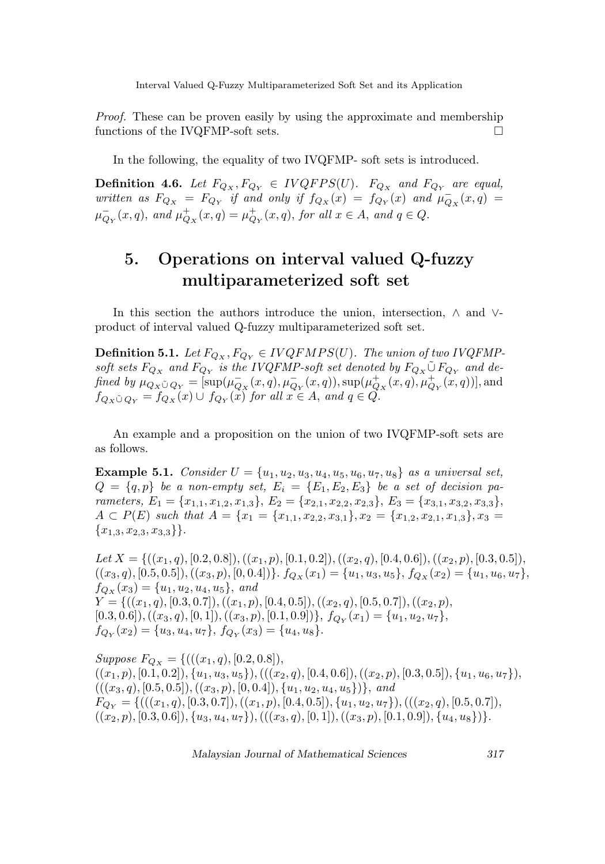Proof. These can be proven easily by using the approximate and membership functions of the IVQFMP-soft sets.

In the following, the equality of two IVQFMP- soft sets is introduced.

**Definition 4.6.** Let  $F_{Q_X}, F_{Q_Y} \in IVQFPS(U)$ .  $F_{Q_X}$  and  $F_{Q_Y}$  are equal, written as  $F_{Q_X} = F_{Q_Y}$  if and only if  $f_{Q_X}(x) = f_{Q_Y}(x)$  and  $\mu_{Q_X}^-(x,q) =$  $\mu_{Q_Y}^-(x,q)$ , and  $\mu_{Q_X}^+(x,q) = \mu_{Q_Y}^+(x,q)$ , for all  $x \in A$ , and  $q \in Q$ .

# 5. Operations on interval valued Q-fuzzy multiparameterized soft set

In this section the authors introduce the union, intersection, ∧ and ∨ product of interval valued Q-fuzzy multiparameterized soft set.

**Definition 5.1.** Let  $F_{Q_X}, F_{Q_Y} \in IVQFMPS(U)$ . The union of two IVQFMPsoft sets  $F_{Q_X}$  and  $F_{Q_Y}$  is the IVQFMP-soft set denoted by  $F_{Q_X} \tilde \cup F_{Q_Y}$  and defined by  $\mu_{Q_X \tilde{\cup} Q_Y} = [\sup(\mu_{Q_X}^-(x,q), \mu_{Q_Y}^-(x,q)), \sup(\mu_{Q_X}^+(x,q), \mu_{Q_Y}^+(x,q))]$ , and  $f_{Q_X\tilde{\cup} Q_Y} = f_{Q_X}(x) \cup f_{Q_Y}(x)$  for all  $x \in A$ , and  $q \in Q$ .

An example and a proposition on the union of two IVQFMP-soft sets are as follows.

**Example 5.1.** Consider  $U = \{u_1, u_2, u_3, u_4, u_5, u_6, u_7, u_8\}$  as a universal set,  $Q = \{q, p\}$  be a non-empty set,  $E_i = \{E_1, E_2, E_3\}$  be a set of decision parameters,  $E_1 = \{x_{1,1}, x_{1,2}, x_{1,3}\}, E_2 = \{x_{2,1}, x_{2,2}, x_{2,3}\}, E_3 = \{x_{3,1}, x_{3,2}, x_{3,3}\},$  $A \subset P(E)$  such that  $A = \{x_1 = \{x_{1,1}, x_{2,2}, x_{3,1}\}, x_2 = \{x_{1,2}, x_{2,1}, x_{1,3}\}, x_3 =$  ${x_{1,3}, x_{2,3}, x_{3,3}}.$ 

Let  $X = \{((x_1, q), [0.2, 0.8]), ((x_1, p), [0.1, 0.2]), ((x_2, q), [0.4, 0.6]), ((x_2, p), [0.3, 0.5]),$  $((x_3, q), [0.5, 0.5]), ((x_3, p), [0, 0.4])\}. f_{Q_X}(x_1) = \{u_1, u_3, u_5\}, f_{Q_X}(x_2) = \{u_1, u_6, u_7\},\$  $f_{Q_X}(x_3) = \{u_1, u_2, u_4, u_5\}, \text{ and}$  $Y = \{((x_1, q), [0.3, 0.7]), ((x_1, p), [0.4, 0.5]), ((x_2, q), [0.5, 0.7]), ((x_2, p),$  $[0.3, 0.6]), ((x_3, q), [0, 1]), ((x_3, p), [0.1, 0.9]), f_{Q_Y}(x_1) = \{u_1, u_2, u_7\},\$  $f_{Q_Y}(x_2) = \{u_3, u_4, u_7\}, f_{Q_Y}(x_3) = \{u_4, u_8\}.$ 

Suppose  $F_{Q_X} = \{(((x_1, q), [0.2, 0.8]),$  $((x_1, p), [0.1, 0.2]), \{u_1, u_3, u_5\}), (((x_2, q), [0.4, 0.6]), ((x_2, p), [0.3, 0.5]), \{u_1, u_6, u_7\}),$  $(((x_3, q), [0.5, 0.5]), ((x_3, p), [0, 0.4]), \{u_1, u_2, u_4, u_5\})\}, and$  $F_{Q_Y} = \{(((x_1, q), [0.3, 0.7]), ((x_1, p), [0.4, 0.5]), \{u_1, u_2, u_7\}), (((x_2, q), [0.5, 0.7]),$  $((x_2, p), [0.3, 0.6]), \{u_3, u_4, u_7\}), (((x_3, q), [0, 1]), ((x_3, p), [0.1, 0.9]), \{u_4, u_8\})\}.$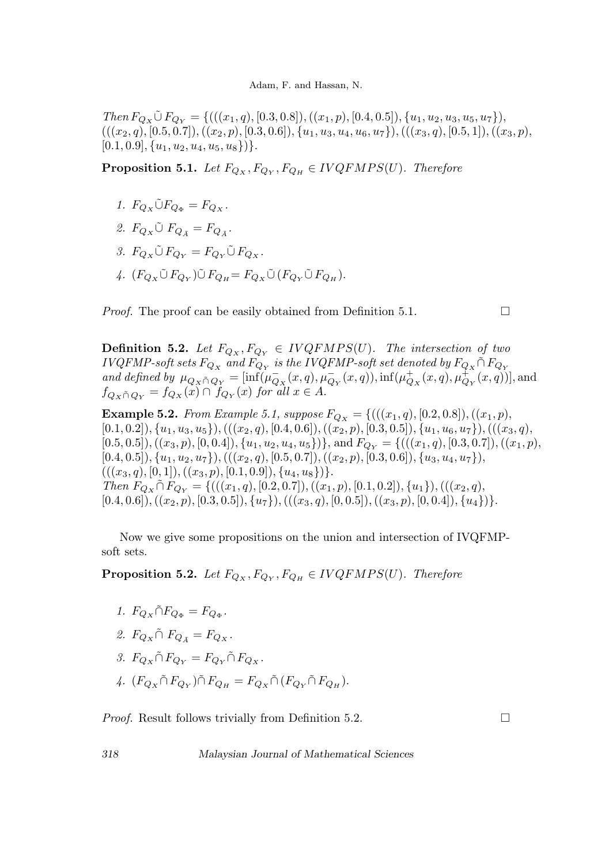$Then F_{Q_X} \tilde{\cup} F_{Q_Y} = \{((x_1, q), [0.3, 0.8]), ((x_1, p), [0.4, 0.5]), \{u_1, u_2, u_3, u_5, u_7\}),\}$  $(((x_2,q), [0.5, 0.7]), ((x_2, p), [0.3, 0.6]), (u_1, u_3, u_4, u_6, u_7]), ((x_3, q), [0.5, 1]), ((x_3, p),$  $[0.1, 0.9], \{u_1, u_2, u_4, u_5, u_8\}\}.$ 

**Proposition 5.1.** Let  $F_{Q_X}, F_{Q_Y}, F_{Q_H} \in IVQFMPS(U)$ . Therefore

- 1.  $F_{Q_x} \tilde{\cup} F_{Q_{\Phi}} = F_{Q_x}$ .
- 2.  $F_{Q_X} \tilde{\cup} F_{Q_{\tilde{A}}} = F_{Q_{\tilde{A}}}$ .
- 3.  $F_{Q_Y} \tilde{\cup} F_{Q_Y} = F_{Q_Y} \tilde{\cup} F_{Q_Y}$ .
- 4.  $(F_{Q_X}\tilde{\cup} F_{Q_Y})\tilde{\cup} F_{Q_H} = F_{Q_X}\tilde{\cup} (F_{Q_Y}\tilde{\cup} F_{Q_H}).$

*Proof.* The proof can be easily obtained from Definition 5.1.  $\Box$ 

**Definition 5.2.** Let  $F_{Q_X}, F_{Q_Y} \in IVQFMPS(U)$ . The intersection of two *IVQFMP-soft sets*  $F_{Q_X}$  and  $F_{Q_Y}$  is the *IVQFMP-soft set denoted by*  $F_{Q_X} \cap F_{Q_Y}$ and defined by  $\mu_{Q_X \cap Q_Y} = [\inf(\mu_{Q_X}^-(x,q), \mu_{Q_Y}^-(x,q)), \inf(\mu_{Q_X}^+(x,q), \mu_{Q_Y}^+(x,q))]$ , and  $f_{Q_X\tildecapcap_Y} = f_{Q_X}(x) \cap f_{Q_Y}(x)$  for all  $x \in A$ .

**Example 5.2.** From Example 5.1, suppose  $F_{Q_X} = \{((x_1, q), [0.2, 0.8]), ((x_1, p),$  $[0.1, 0.2], \{u_1, u_3, u_5\},(((x_2, q), [0.4, 0.6]),((x_2, p), [0.3, 0.5]), \{u_1, u_6, u_7\}),(((x_3, q),$  $[0.5, 0.5]), ((x_3, p), [0, 0.4]), \{u_1, u_2, u_4, u_5\})\},$  and  $F_{Q_Y} = \{(((x_1, q), [0.3, 0.7]), ((x_1, p),$  $[0.4, 0.5]), \{u_1, u_2, u_7\}),(( (x_2, q), [0.5, 0.7]), ((x_2, p), [0.3, 0.6]), \{u_3, u_4, u_7\}),$  $(((x_3, q), [0, 1]), ((x_3, p), [0.1, 0.9]), \{u_4, u_8\})\}.$ Then  $F_{Q_X} \tilde{\cap} F_{Q_Y} = \{((x_1, q), [0.2, 0.7]), ((x_1, p), [0.1, 0.2]), \{u_1\}), (((x_2, q),$  $[0.4, 0.6]), ((x_2, p), [0.3, 0.5]), (u_7), ((x_3, q), [0, 0.5]), ((x_3, p), [0, 0.4]), \{u_4\})\}.$ 

Now we give some propositions on the union and intersection of IVQFMPsoft sets.

**Proposition 5.2.** Let  $F_{Q_X}, F_{Q_Y}, F_{Q_H} \in IVQFMPS(U)$ . Therefore

- 1.  $F_{Q_X} \tilde{\cap} F_{Q_{\Phi}} = F_{Q_{\Phi}}$ .
- 2.  $F_{Q_X} \cap F_{Q_{\bar{A}}} = F_{Q_X}$ .
- 3.  $F_{Q_Y} \tilde{\cap} F_{Q_Y} = F_{Q_Y} \tilde{\cap} F_{Q_X}$ .
- 4.  $(F_{Q_X} \tilde{\cap} F_{Q_Y}) \tilde{\cap} F_{Q_H} = F_{Q_X} \tilde{\cap} (F_{Q_Y} \tilde{\cap} F_{Q_H}).$

*Proof.* Result follows trivially from Definition 5.2.  $\Box$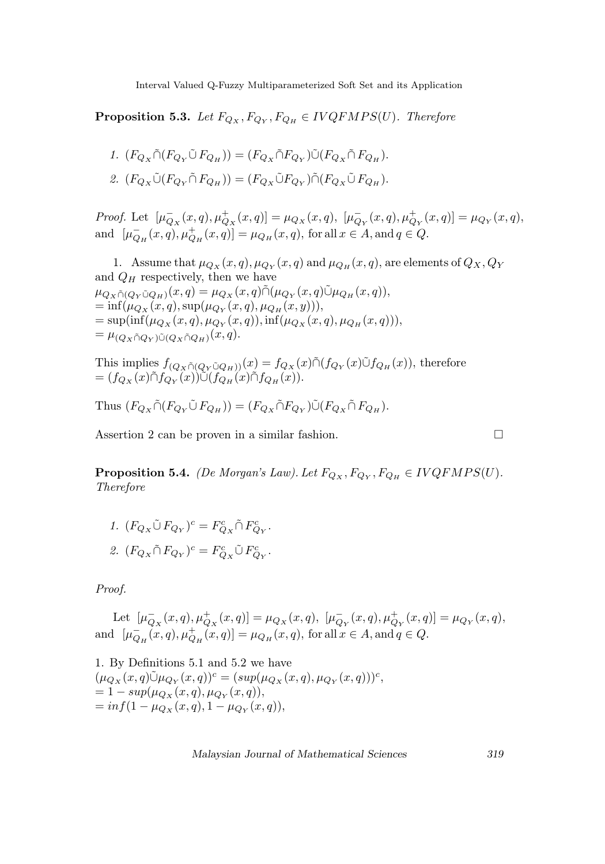**Proposition 5.3.** Let  $F_{Q_X}, F_{Q_Y}, F_{Q_H} \in IVQFMPS(U)$ . Therefore

1. 
$$
(F_{Q_X} \tilde{\cap} (F_{Q_Y} \tilde{\cup} F_{Q_H})) = (F_{Q_X} \tilde{\cap} F_{Q_Y}) \tilde{\cup} (F_{Q_X} \tilde{\cap} F_{Q_H}).
$$
  
2.  $(F_{Q_X} \tilde{\cup} (F_{Q_Y} \tilde{\cap} F_{Q_H})) = (F_{Q_X} \tilde{\cup} F_{Q_Y}) \tilde{\cap} (F_{Q_X} \tilde{\cup} F_{Q_H}).$ 

Proof. Let  $[\mu_{Q_X}^-(x,q), \mu_{Q_X}^+(x,q)] = \mu_{Q_X}(x,q), [\mu_{Q_Y}^-(x,q), \mu_{Q_Y}^+(x,q)] = \mu_{Q_Y}(x,q),$ and  $[\mu_{Q_H}^-(x, q), \mu_{Q_H}^+(x, q)] = \mu_{Q_H}(x, q)$ , for all  $x \in A$ , and  $q \in Q$ .

1. Assume that  $\mu_{Q_X}(x,q), \mu_{Q_Y}(x,q)$  and  $\mu_{Q_H}(x,q)$ , are elements of  $Q_X, Q_Y$ and  $Q_H$  respectively, then we have  $\mu_{Q_X \tilde{\cap} (Q_Y \tilde{\cup} Q_H)}(x,q) = \mu_{Q_X}(x,q) \tilde{\cap} (\mu_{Q_Y}(x,q) \tilde{\cup} \mu_{Q_H}(x,q)),$  $= \inf(\mu_{Q_X}(x,q), \sup(\mu_{Q_Y}(x,q), \mu_{Q_H}(x,y))),$  $= \sup(\inf(\mu_{Q_X}(x,q), \mu_{Q_Y}(x,q)), \inf(\mu_{Q_X}(x,q), \mu_{Q_H}(x,q))),$  $=\mu_{(Q_X\cap Q_Y)\tilde{\cup}(Q_X\cap Q_H)}(x,q).$ 

This implies 
$$
f_{(Q_X \tilde{\cap} (Q_Y \tilde{\cup} Q_H))}(x) = f_{Q_X}(x) \tilde{\cap} (f_{Q_Y}(x) \tilde{\cup} f_{Q_H}(x)),
$$
 therefore  
=  $(f_{Q_X}(x) \tilde{\cap} f_{Q_Y}(x)) \tilde{\cup} (f_{Q_H}(x) \tilde{\cap} f_{Q_H}(x)).$ 

Thus  $(F_{Q_X} \tilde{\cap} (F_{Q_Y} \tilde{\cup} F_{Q_H})) = (F_{Q_X} \tilde{\cap} F_{Q_Y}) \tilde{\cup} (F_{Q_X} \tilde{\cap} F_{Q_H}).$ 

Assertion 2 can be proven in a similar fashion.

**Proposition 5.4.** (De Morgan's Law). Let  $F_{Q_X}, F_{Q_Y}, F_{Q_H} \in IVQFMPS(U)$ . Therefore

 $I. \ \ (F_{Q_X}\tilde{\cup}\,F_{Q_Y})^c=F^c_{Q_X}\tilde{\cap}\,F^c_{Q_Y}.$ 2.  $(F_{Q_X} \cap F_{Q_Y})^c = F_{Q_X}^c \tilde{\cup} F_{Q_Y}^c$ .

Proof.

Let  $[\mu_{Q_X}^-(x,q), \mu_{Q_X}^+(x,q)] = \mu_{Q_X}(x,q), \ [\mu_{Q_Y}^-(x,q), \mu_{Q_Y}^+(x,q)] = \mu_{Q_Y}(x,q),$ and  $[\mu_{Q_H}^-(x, q), \mu_{Q_H}^+(x, q)] = \mu_{Q_H}(x, q)$ , for all  $x \in A$ , and  $q \in Q$ .

1. By Definitions 5.1 and 5.2 we have  $(\mu_{Q_X}(x,q)\tilde{\cup}\mu_{Q_Y}(x,q))^c = (sup(\mu_{Q_X}(x,q), \mu_{Q_Y}(x,q)))^c,$  $= 1 - sup(\mu_{Q_X}(x, q), \mu_{Q_Y}(x, q)),$  $= inf(1 - \mu_{Q_X}(x, q), 1 - \mu_{Q_Y}(x, q)),$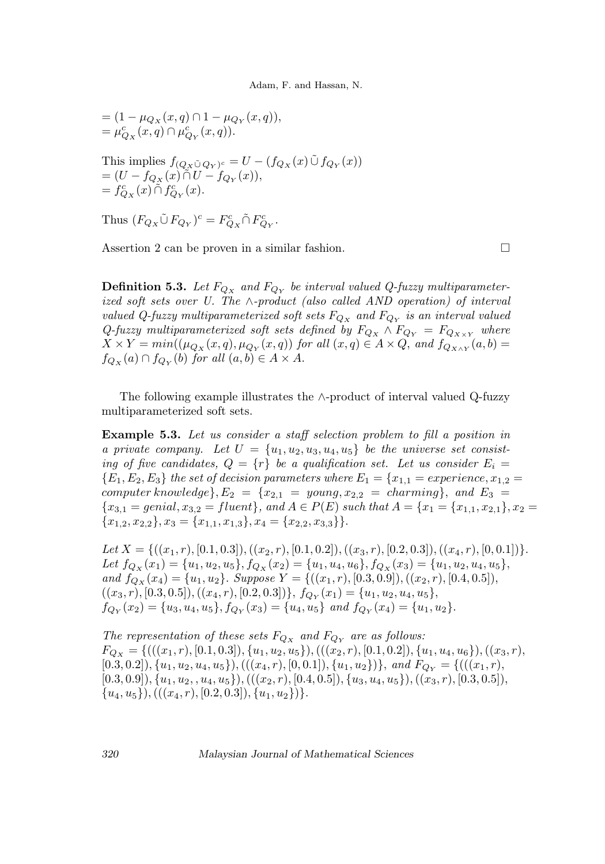$$
\begin{aligned} &=(1-\mu_{Q_X}(x,q)\cap 1-\mu_{Q_Y}(x,q)),\\ &=\mu^c_{Q_X}(x,q)\cap\mu^c_{Q_Y}(x,q)).\\ \label{eq:11} \end{aligned}
$$
 This implies  $f_{(Q_X\tilde\cup Q_Y)^c}=U-(f_{Q_X}(x)\tilde\cup f_{Q_Y}(x))$   

$$
=(U-f_{Q_X}(x)\tilde\cap U-f_{Q_Y}(x)),\\ =f^c_{Q_X}(x)\tilde\cap f^c_{Q_Y}(x).
$$

Thus  $(F_{Q_X}\tilde{\cup} F_{Q_Y})^c = F_{Q_X}^c \tilde{\cap} F_{Q_Y}^c$ .

Assertion 2 can be proven in a similar fashion.

**Definition 5.3.** Let  $F_{Q_X}$  and  $F_{Q_Y}$  be interval valued Q-fuzzy multiparameterized soft sets over U. The ∧-product (also called AND operation) of interval valued Q-fuzzy multiparameterized soft sets  $F_{Q_X}$  and  $F_{Q_Y}$  is an interval valued Q-fuzzy multiparameterized soft sets defined by  $F_{Q_X} \wedge F_{Q_Y} = F_{Q_{X \times Y}}$  where  $X \times Y = min((\mu_{Q_X}(x,q), \mu_{Q_Y}(x,q))$  for all  $(x,q) \in A \times Q$ , and  $f_{Q_{X \wedge Y}}(a,b) =$  $f_{Q_X}(a) \cap f_{Q_Y}(b)$  for all  $(a, b) \in A \times A$ .

The following example illustrates the ∧-product of interval valued Q-fuzzy multiparameterized soft sets.

Example 5.3. Let us consider a staff selection problem to fill a position in a private company. Let  $U = \{u_1, u_2, u_3, u_4, u_5\}$  be the universe set consisting of five candidates,  $Q = \{r\}$  be a qualification set. Let us consider  $E_i =$  ${E_1, E_2, E_3}$  the set of decision parameters where  $E_1 = \{x_{1,1} = \text{experience}, x_{1,2} = \}$ computer knowledge,  $E_2 = \{x_{2,1} = young, x_{2,2} = charming\}$ , and  $E_3 =$  ${x_{3,1} = genial, x_{3,2} = fluent}, and A \in P(E) such that A = {x_1 = {x_{1,1}, x_{2,1}}, x_2 = 1}$  ${x_{1,2}, x_{2,2}}, x_3 = {x_{1,1}, x_{1,3}}, x_4 = {x_{2,2}, x_{3,3}}.$ 

Let  $X = \{((x_1, r), [0.1, 0.3]), ((x_2, r), [0.1, 0.2]), ((x_3, r), [0.2, 0.3]), ((x_4, r), [0, 0.1])\}.$ Let  $f_{Q_X}(x_1) = \{u_1, u_2, u_5\}, f_{Q_X}(x_2) = \{u_1, u_4, u_6\}, f_{Q_X}(x_3) = \{u_1, u_2, u_4, u_5\},\,$ and  $f_{Q_X}(x_4) = \{u_1, u_2\}$ . Suppose  $Y = \{((x_1, r), [0.3, 0.9]), ((x_2, r), [0.4, 0.5]),$  $((x_3, r), [0.3, 0.5]), ((x_4, r), [0.2, 0.3])\}, f_{Q_Y}(x_1) = \{u_1, u_2, u_4, u_5\},\$  $f_{Q_Y}(x_2) = \{u_3, u_4, u_5\}, f_{Q_Y}(x_3) = \{u_4, u_5\}$  and  $f_{Q_Y}(x_4) = \{u_1, u_2\}.$ 

The representation of these sets  $F_{Q_X}$  and  $F_{Q_Y}$  are as follows:  $F_{Q_X} = \{(((x_1, r), [0.1, 0.3]), \{u_1, u_2, u_5\}), (((x_2, r), [0.1, 0.2]), \{u_1, u_4, u_6\}), ((x_3, r),$  $[0.3, 0.2]$ ),  $\{u_1, u_2, u_4, u_5\}$ ),  $(((x_4, r), [0, 0.1]), \{u_1, u_2\})\}$ , and  $F_{Q_Y} = \{(((x_1, r),$  $[0.3, 0.9], \{u_1, u_2, u_4, u_5\}, (((x_2, r), [0.4, 0.5]), \{u_3, u_4, u_5\}), ((x_3, r), [0.3, 0.5]),$  $\{u_4, u_5\}, ((u_4, r), [0.2, 0.3]), \{u_1, u_2\})\}.$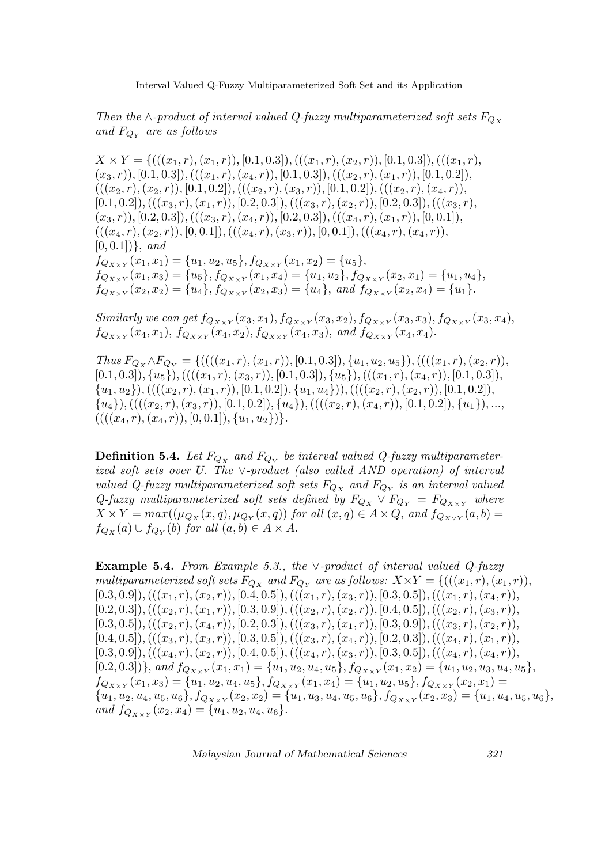Then the ∧-product of interval valued Q-fuzzy multiparameterized soft sets  $F_{Q_x}$ and  $F_{Q_Y}$  are as follows

 $X \times Y = \{(((x_1, r), (x_1, r)), [0.1, 0.3]), (((x_1, r), (x_2, r)), [0.1, 0.3]), (((x_1, r),$  $(x_3, r)$ , [0.1, 0.3]),  $(((x_1, r), (x_4, r)), [0.1, 0.3]), (((x_2, r), (x_1, r)), [0.1, 0.2]),$  $(((x_2,r),(x_2,r)),[0.1,0.2]),(((x_2,r),(x_3,r)),[0.1,0.2]),(((x_2,r),(x_4,r)),$  $[0.1, 0.2]$ ,  $(((x_3, r), (x_1, r)), [0.2, 0.3]), (((x_3, r), (x_2, r)), [0.2, 0.3]), (((x_3, r),$  $(x_3, r)$ , [0.2, 0.3]),  $(((x_3, r), (x_4, r)), [0.2, 0.3]), (((x_4, r), (x_1, r)), [0, 0.1]),$  $(((x_4, r), (x_2, r)), [0, 0.1]), (((x_4, r), (x_3, r)), [0, 0.1]), (((x_4, r), (x_4, r)),$  $[0, 0.1]$ }, and  $f_{Q_{X\times Y}}(x_1, x_1) = \{u_1, u_2, u_5\}, f_{Q_{X\times Y}}(x_1, x_2) = \{u_5\},\$  $f_{Q_{X\times Y}}(x_1, x_3) = \{u_5\}, f_{Q_{X\times Y}}(x_1, x_4) = \{u_1, u_2\}, f_{Q_{X\times Y}}(x_2, x_1) = \{u_1, u_4\},\$  $f_{Q_{X\times Y}}(x_2, x_2) = \{u_4\}, f_{Q_{X\times Y}}(x_2, x_3) = \{u_4\}, \text{ and } f_{Q_{X\times Y}}(x_2, x_4) = \{u_1\}.$ 

Similarly we can get  $f_{Q_{X\times Y}}(x_3, x_1), f_{Q_{X\times Y}}(x_3, x_2), f_{Q_{X\times Y}}(x_3, x_3), f_{Q_{X\times Y}}(x_3, x_4),$  $f_{Q_{X\times Y}}(x_4, x_1), f_{Q_{X\times Y}}(x_4, x_2), f_{Q_{X\times Y}}(x_4, x_3),$  and  $f_{Q_{X\times Y}}(x_4, x_4)$ .

Thus  $F_{Q_X} \wedge F_{Q_Y} = \{(((x_1, r), (x_1, r)), [0.1, 0.3]), \{u_1, u_2, u_5\}), (((x_1, r), (x_2, r)),$  $[0.1, 0.3], \{u_5\},((((x_1, r), (x_3, r)), [0.1, 0.3]), \{u_5\}),(((x_1, r), (x_4, r)), [0.1, 0.3]),$  $\{(u_1, u_2),(((x_2, r), (x_1, r)), [0.1, 0.2]), \{u_1, u_4\})),(((x_2, r), (x_2, r)), [0.1, 0.2]),$  $\{(u_4),((((x_2,r),(x_3,r)),[0.1,0.2]),\{u_4\}),((((x_2,r),(x_4,r)),[0.1,0.2]),\{u_1\}),...,$  $(((((x_4,r),(x_4,r)),[0,0.1]),\{u_1,u_2\})$ .

**Definition 5.4.** Let  $F_{Q_X}$  and  $F_{Q_Y}$  be interval valued Q-fuzzy multiparameterized soft sets over U. The ∨-product (also called AND operation) of interval valued Q-fuzzy multiparameterized soft sets  $F_{Q_X}$  and  $F_{Q_Y}$  is an interval valued Q-fuzzy multiparameterized soft sets defined by  $F_{Q_X} \vee F_{Q_Y} = F_{Q_{X \times Y}}$  where  $X \times Y = max((\mu_{Q_X}(x,q), \mu_{Q_Y}(x,q))$  for all  $(x,q) \in A \times Q$ , and  $f_{Q_{X \times Y}}(a,b) =$  $f_{Q_X}(a) \cup f_{Q_Y}(b)$  for all  $(a, b) \in A \times A$ .

Example 5.4. From Example 5.3., the ∨-product of interval valued  $Q$ -fuzzy multiparameterized soft sets  $F_{Q_X}$  and  $F_{Q_Y}$  are as follows:  $X \times Y = \{((x_1, r), (x_1, r)),$  $[0.3, 0.9],(((x_1, r), (x_2, r)), [0.4, 0.5]), (((x_1, r), (x_3, r)), [0.3, 0.5]), (((x_1, r), (x_4, r)),$  $[0.2, 0.3]$ ,  $(((x_2, r), (x_1, r)), [0.3, 0.9])$ ,  $(((x_2, r), (x_2, r)), [0.4, 0.5])$ ,  $(((x_2, r), (x_3, r)),$  $[0.3, 0.5],(((x_2, r), (x_4, r)), [0.2, 0.3]), (((x_3, r), (x_1, r)), [0.3, 0.9]), (((x_3, r), (x_2, r)),$  $[0.4, 0.5]),((((x_3, r), (x_3, r)), [0.3, 0.5]),(((x_3, r), (x_4, r)), [0.2, 0.3]),(((x_4, r), (x_1, r)),$  $[0.3, 0.9]),(( (x_4, r), (x_2, r)), [0.4, 0.5]),(( (x_4, r), (x_3, r)), [0.3, 0.5]),(( (x_4, r), (x_4, r)),$  $[0.2, 0.3]$ }, and  $f_{Q_{X \times Y}}(x_1, x_1) = \{u_1, u_2, u_4, u_5\}$ ,  $f_{Q_{X \times Y}}(x_1, x_2) = \{u_1, u_2, u_3, u_4, u_5\}$ ,  $f_{Q_{X\times Y}}(x_1, x_3) = \{u_1, u_2, u_4, u_5\}, f_{Q_{X\times Y}}(x_1, x_4) = \{u_1, u_2, u_5\}, f_{Q_{X\times Y}}(x_2, x_1) =$  ${u_1, u_2, u_4, u_5, u_6}, f_{Q_{X\times Y}}(x_2, x_2) = {u_1, u_3, u_4, u_5, u_6}, f_{Q_{X\times Y}}(x_2, x_3) = {u_1, u_4, u_5, u_6},$ and  $f_{Q_{X\times Y}}(x_2, x_4) = \{u_1, u_2, u_4, u_6\}.$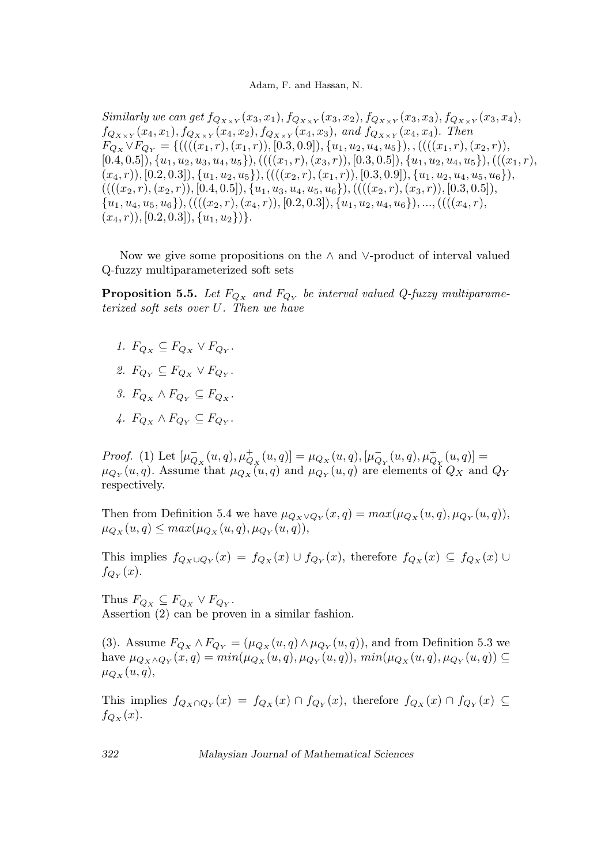Similarly we can get  $f_{Q_{X\times Y}}(x_3, x_1), f_{Q_{X\times Y}}(x_3, x_2), f_{Q_{X\times Y}}(x_3, x_3), f_{Q_{X\times Y}}(x_3, x_4),$  $f_{Q_{X\times Y}}(x_4, x_1), f_{Q_{X\times Y}}(x_4, x_2), f_{Q_{X\times Y}}(x_4, x_3),$  and  $f_{Q_{X\times Y}}(x_4, x_4)$ . Then  $F_{Q_X} \vee F_{Q_Y} = \{(((x_1, r), (x_1, r)), [0.3, 0.9]), \{u_1, u_2, u_4, u_5\}), , (((x_1, r), (x_2, r)),$  $[0.4, 0.5], \{u_1, u_2, u_3, u_4, u_5\},((((x_1, r), (x_3, r)), [0.3, 0.5]), \{u_1, u_2, u_4, u_5\}),(((x_1, r),$  $(x_4, r)$ , [0.2, 0.3]),  $\{u_1, u_2, u_5\}$ , ((( $(x_2, r)$ ,  $(x_1, r)$ ), [0.3, 0.9]),  $\{u_1, u_2, u_4, u_5, u_6\}$ ),  $(((((x_2,r),(x_2,r)),[0.4,0.5]),\{u_1,u_3,u_4,u_5,u_6\}),((((x_2,r),(x_3,r)),[0.3,0.5]),$  $\{u_1, u_4, u_5, u_6\},((((x_2, r), (x_4, r)), [0.2, 0.3]), \{u_1, u_2, u_4, u_6\}),...,(((x_4, r),$  $(x_4, r), [0.2, 0.3], \{u_1, u_2\}\}.$ 

Now we give some propositions on the ∧ and ∨-product of interval valued Q-fuzzy multiparameterized soft sets

**Proposition 5.5.** Let  $F_{Q_X}$  and  $F_{Q_Y}$  be interval valued Q-fuzzy multiparameterized soft sets over U. Then we have

- 1.  $F_{Q_X} \subseteq F_{Q_X} \vee F_{Q_Y}.$
- 2.  $F_{Q_Y} \subseteq F_{Q_X} \vee F_{Q_Y}.$
- 3.  $F_{Q_x} \wedge F_{Q_y} \subseteq F_{Q_x}$ .
- 4.  $F_{Q_X} \wedge F_{Q_Y} \subseteq F_{Q_Y}.$

Proof. (1) Let  $[\mu_{Q_X}^-(u, q), \mu_{Q_X}^+(u, q)] = \mu_{Q_X}(u, q), [\mu_{Q_Y}^-(u, q), \mu_{Q_Y}^+(u, q)] =$  $\mu_{Q_Y}(u,q)$ . Assume that  $\mu_{Q_X}(u,q)$  and  $\mu_{Q_Y}(u,q)$  are elements of  $Q_X$  and  $Q_Y$ respectively.

Then from Definition 5.4 we have  $\mu_{Q_X \vee Q_Y}(x,q) = max(\mu_{Q_X}(u,q), \mu_{Q_Y}(u,q)),$  $\mu_{Q_X}(u, q) \leq max(\mu_{Q_X}(u, q), \mu_{Q_Y}(u, q)),$ 

This implies  $f_{Q_X \cup Q_Y}(x) = f_{Q_X}(x) \cup f_{Q_Y}(x)$ , therefore  $f_{Q_X}(x) \subseteq f_{Q_X}(x) \cup$  $f_{Q_Y}(x)$ .

Thus  $F_{Q_X} \subseteq F_{Q_X} \vee F_{Q_Y}$ . Assertion (2) can be proven in a similar fashion.

(3). Assume  $F_{Q_X} \wedge F_{Q_Y} = (\mu_{Q_X}(u, q) \wedge \mu_{Q_Y}(u, q))$ , and from Definition 5.3 we have  $\mu_{Q_X \wedge Q_Y}(x,q) = min(\mu_{Q_X}(u,q), \mu_{Q_Y}(u,q)), min(\mu_{Q_X}(u,q), \mu_{Q_Y}(u,q)) \subseteq$  $\mu_{Q_X}(u,q),$ 

This implies  $f_{Q_X \cap Q_Y}(x) = f_{Q_X}(x) \cap f_{Q_Y}(x)$ , therefore  $f_{Q_X}(x) \cap f_{Q_Y}(x) \subseteq$  $f_{Q_X}(x)$ .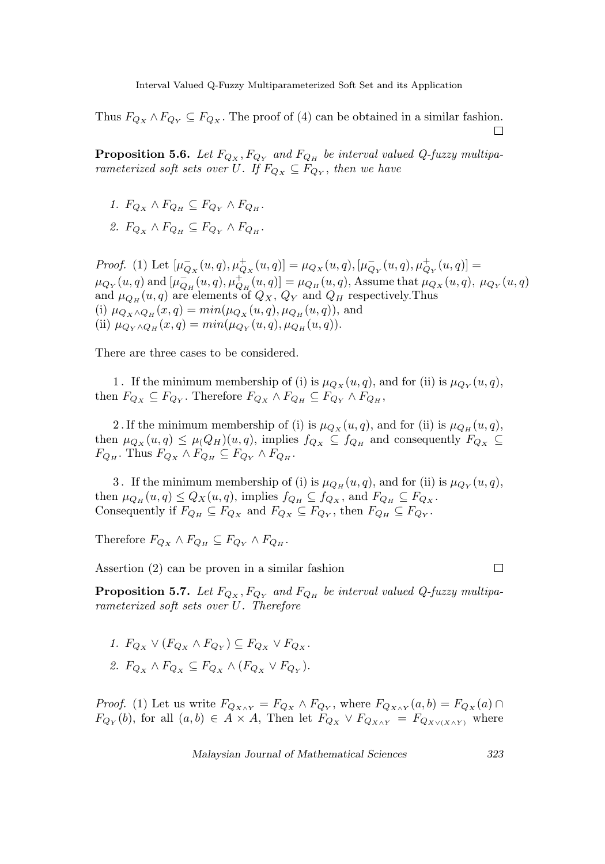Thus  $F_{Q_X} \wedge F_{Q_Y} \subseteq F_{Q_X}$ . The proof of (4) can be obtained in a similar fashion. П

**Proposition 5.6.** Let  $F_{Q_X}, F_{Q_Y}$  and  $F_{Q_H}$  be interval valued Q-fuzzy multiparameterized soft sets over U. If  $F_{Q_X} \subseteq F_{Q_Y}$ , then we have

- 1.  $F_{Q_X} \wedge F_{Q_H} \subseteq F_{Q_Y} \wedge F_{Q_H}$ .
- 2.  $F_{Q_X} \wedge F_{Q_H} \subseteq F_{Q_Y} \wedge F_{Q_H}$ .

Proof. (1) Let  $[\mu_{Q_X}^-(u, q), \mu_{Q_X}^+(u, q)] = \mu_{Q_X}(u, q), [\mu_{Q_Y}^-(u, q), \mu_{Q_Y}^+(u, q)] =$  $\mu_{Q_Y}(u, q)$  and  $[\mu_{Q_H}^-(u, q), \mu_{Q_H}^+(u, q)] = \mu_{Q_H}(u, q)$ , Assume that  $\mu_{Q_X}(u, q)$ ,  $\mu_{Q_Y}(u, q)$ and  $\mu_{Q_H}(u, q)$  are elements of  $Q_X$ ,  $Q_Y$  and  $Q_H$  respectively. Thus (i)  $\mu_{Q_X \wedge Q_H}(x,q) = min(\mu_{Q_X}(u,q), \mu_{Q_H}(u,q)),$  and (ii)  $\mu_{Q_Y \wedge Q_H}(x,q) = min(\mu_{Q_Y}(u,q), \mu_{Q_H}(u,q)).$ 

There are three cases to be considered.

1. If the minimum membership of (i) is  $\mu_{Q_X}(u, q)$ , and for (ii) is  $\mu_{Q_Y}(u, q)$ , then  $F_{Q_X} \subseteq F_{Q_Y}$ . Therefore  $F_{Q_X} \wedge F_{Q_H} \subseteq F_{Q_Y} \wedge F_{Q_H}$ ,

2. If the minimum membership of (i) is  $\mu_{Q_X}(u, q)$ , and for (ii) is  $\mu_{Q_H}(u, q)$ , then  $\mu_{Q_X}(u, q) \leq \mu(Q_H)(u, q)$ , implies  $f_{Q_X} \subseteq f_{Q_H}$  and consequently  $F_{Q_X} \subseteq$  $F_{Q_H}$ . Thus  $F_{Q_X} \wedge F_{Q_H} \subseteq F_{Q_Y} \wedge F_{Q_H}$ .

3. If the minimum membership of (i) is  $\mu_{Q_H}(u, q)$ , and for (ii) is  $\mu_{Q_Y}(u, q)$ , then  $\mu_{Q_H}(u, q) \leq Q_X(u, q)$ , implies  $f_{Q_H} \subseteq f_{Q_X}$ , and  $F_{Q_H} \subseteq F_{Q_X}$ . Consequently if  $F_{Q_H} \subseteq F_{Q_X}$  and  $F_{Q_X} \subseteq F_{Q_Y}$ , then  $F_{Q_H} \subseteq F_{Q_Y}$ .

Therefore  $F_{Q_X} \wedge F_{Q_H} \subseteq F_{Q_Y} \wedge F_{Q_H}$ .

Assertion (2) can be proven in a similar fashion

 $\Box$ 

**Proposition 5.7.** Let  $F_{Q_X}, F_{Q_Y}$  and  $F_{Q_H}$  be interval valued Q-fuzzy multiparameterized soft sets over U. Therefore

1.  $F_{Q_X} \vee (F_{Q_X} \wedge F_{Q_Y}) \subseteq F_{Q_X} \vee F_{Q_X}.$ 2.  $F_{Q_X} \wedge F_{Q_X} \subseteq F_{Q_X} \wedge (F_{Q_X} \vee F_{Q_Y}).$ 

*Proof.* (1) Let us write  $F_{Q_{X\wedge Y}} = F_{Q_X} \wedge F_{Q_Y}$ , where  $F_{Q_{X\wedge Y}}(a, b) = F_{Q_X}(a) \cap$  $F_{Q_Y}(b)$ , for all  $(a, b) \in A \times A$ , Then let  $F_{Q_X} \vee F_{Q_{X \wedge Y}} = F_{Q_{X \vee (X \wedge Y)}}$  where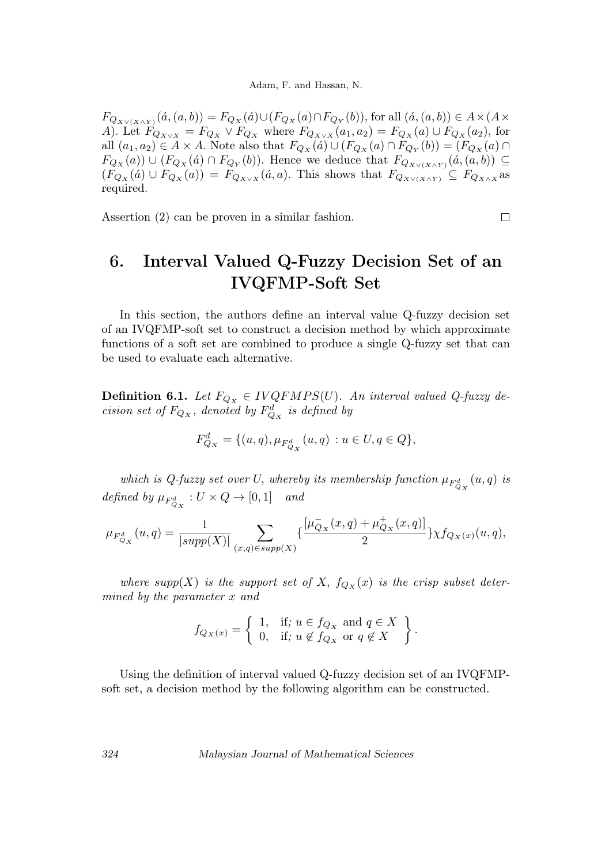$F_{Q_{X \vee (X \wedge Y)}}(\acute{a}, (a, b)) = F_{Q_X}(\acute{a}) \cup (F_{Q_X}(a) \cap F_{Q_Y}(b)),$  for all  $(\acute{a}, (a, b)) \in A \times (A \times$ A). Let  $F_{Q_{X\vee X}} = F_{Q_X} \vee F_{Q_X}$  where  $F_{Q_{X\vee X}}(a_1, a_2) = F_{Q_X}(a) \cup F_{Q_X}(a_2)$ , for all  $(a_1, a_2) \in A \times A$ . Note also that  $F_{Q_X}(a) \cup (F_{Q_X}(a) \cap F_{Q_Y}(b)) = (F_{Q_X}(a) \cap$  $F_{Q_X}(a)$   $\cup$   $(F_{Q_X}(a) \cap F_{Q_Y}(b))$ . Hence we deduce that  $F_{Q_{X \vee (X \wedge Y)}}(a,(a,b)) \subseteq$  $(F_{Q_X}(a) \cup F_{Q_X}(a)) = F_{Q_{X\vee X}}(a,a)$ . This shows that  $F_{Q_{X\vee (X\wedge Y)}} \subseteq F_{Q_{X\wedge X}}$  as required.

Assertion (2) can be proven in a similar fashion.

## 6. Interval Valued Q-Fuzzy Decision Set of an IVQFMP-Soft Set

 $\Box$ 

In this section, the authors define an interval value Q-fuzzy decision set of an IVQFMP-soft set to construct a decision method by which approximate functions of a soft set are combined to produce a single Q-fuzzy set that can be used to evaluate each alternative.

**Definition 6.1.** Let  $F_{Q_X} \in IVQFMPS(U)$ . An interval valued Q-fuzzy decision set of  $F_{Q_X}$ , denoted by  $F_{Q_X}^d$  is defined by

$$
F_{Q_X}^d = \{(u, q), \mu_{F_{Q_X}^d}(u, q) : u \in U, q \in Q\},\
$$

which is Q-fuzzy set over U, whereby its membership function  $\mu_{F^d_{Q_X}}(u,q)$  is defined by  $\mu_{F_{Q_X}^d}: U \times Q \to [0,1]$  and

$$
\mu_{F^d_{Q_X}}(u,q) = \frac{1}{|supp(X)|} \sum_{(x,q) \in supp(X)} \{\frac{[\mu_{Q_X}^-(x,q)+\mu_{Q_X}^+(x,q)]}{2}\} \chi f_{Q_X(x)}(u,q),
$$

where supp(X) is the support set of X,  $f_{Q_X}(x)$  is the crisp subset determined by the parameter x and

$$
f_{Q_X(x)} = \left\{ \begin{array}{ll} 1, & \text{if; } u \in f_{Q_X} \text{ and } q \in X \\ 0, & \text{if; } u \notin f_{Q_X} \text{ or } q \notin X \end{array} \right\}.
$$

Using the definition of interval valued Q-fuzzy decision set of an IVQFMPsoft set, a decision method by the following algorithm can be constructed.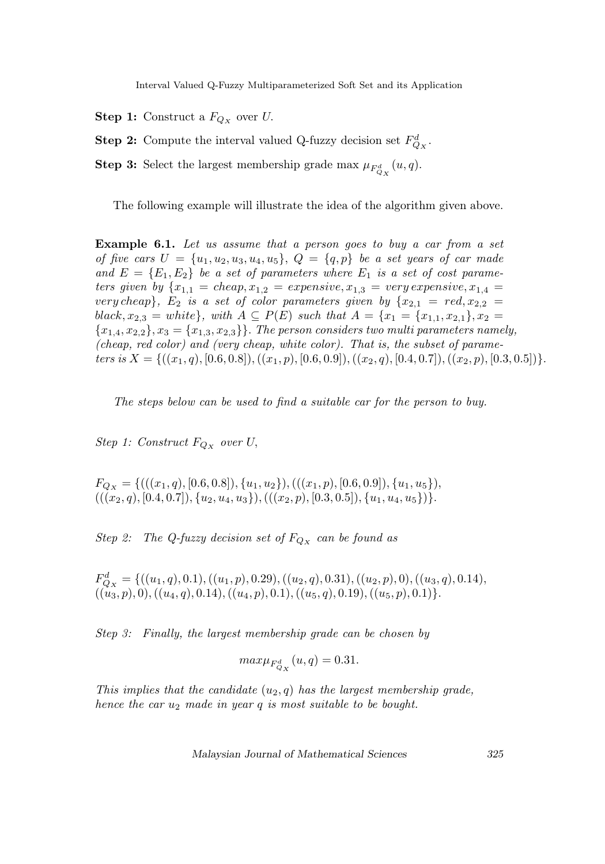- **Step 1:** Construct a  $F_{Q_X}$  over U.
- **Step 2:** Compute the interval valued Q-fuzzy decision set  $F_{Q_X}^d$ .
- **Step 3:** Select the largest membership grade max  $\mu_{F_{Q_X}^d}(u, q)$ .

The following example will illustrate the idea of the algorithm given above.

**Example 6.1.** Let us assume that a person goes to buy a car from a set of five cars  $U = \{u_1, u_2, u_3, u_4, u_5\}, Q = \{q, p\}$  be a set years of car made and  $E = \{E_1, E_2\}$  be a set of parameters where  $E_1$  is a set of cost parameters given by  $\{x_{1,1} = \text{cheap}, x_{1,2} = \text{expensive}, x_{1,3} = \text{very expensive}, x_{1,4} = \text{very expensive}, x_{1,5} = \text{very expensive}, x_{1,6} = \text{very expensive}$ very cheap},  $E_2$  is a set of color parameters given by  $\{x_{2,1} = red, x_{2,2} =$ black,  $x_{2,3} = white$ , with  $A \subseteq P(E)$  such that  $A = \{x_1 = \{x_{1,1}, x_{2,1}\}, x_2 =$  ${x_{1,4}, x_{2,2}}, x_3 = {x_{1,3}, x_{2,3}}$ . The person considers two multi parameters namely, (cheap, red color) and (very cheap, white color). That is, the subset of parameters is  $X = \{((x_1, q), [0.6, 0.8]), ((x_1, p), [0.6, 0.9]), ((x_2, q), [0.4, 0.7]), ((x_2, p), [0.3, 0.5])\}.$ 

The steps below can be used to find a suitable car for the person to buy.

Step 1: Construct  $F_{Q_X}$  over U,

 $F_{Q_X} = \{(((x_1, q), [0.6, 0.8]), \{u_1, u_2\}), (((x_1, p), [0.6, 0.9]), \{u_1, u_5\}),$  $(((x_2, q), [0.4, 0.7]), \{u_2, u_4, u_3\}), (((x_2, p), [0.3, 0.5]), \{u_1, u_4, u_5\})\}.$ 

Step 2: The Q-fuzzy decision set of  $F_{Q_X}$  can be found as

 $F_{Q_X}^d = \{((u_1, q), 0.1), ((u_1, p), 0.29), ((u_2, q), 0.31), ((u_2, p), 0), ((u_3, q), 0.14),$  $((u_3, p), 0),((u_4, q), 0.14),((u_4, p), 0.1),((u_5, q), 0.19),((u_5, p), 0.1)\}.$ 

Step 3: Finally, the largest membership grade can be chosen by

$$
max\mu_{F_{Q_X}^d}(u,q) = 0.31.
$$

This implies that the candidate  $(u_2, q)$  has the largest membership grade, hence the car  $u_2$  made in year q is most suitable to be bought.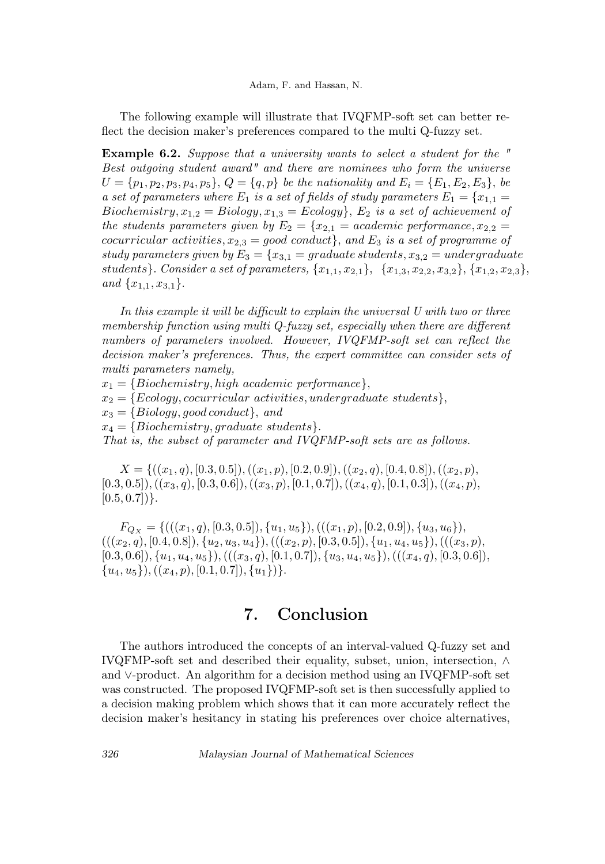The following example will illustrate that IVQFMP-soft set can better reflect the decision maker's preferences compared to the multi Q-fuzzy set.

Example 6.2. Suppose that a university wants to select a student for the " Best outgoing student award" and there are nominees who form the universe  $U = \{p_1, p_2, p_3, p_4, p_5\}, Q = \{q, p\}$  be the nationality and  $E_i = \{E_1, E_2, E_3\},$  be a set of parameters where  $E_1$  is a set of fields of study parameters  $E_1 = \{x_{1,1} =$ Biochemistry,  $x_{1,2} = Biology, x_{1,3} = Ecology,$ ,  $E_2$  is a set of achievement of the students parameters given by  $E_2 = \{x_{2,1} = academic\ performance, x_{2,2} =$ cocurricular activities,  $x_{2,3} = good\text{ conduct}$ , and  $E_3$  is a set of programme of study parameters given by  $E_3 = \{x_{3,1} = \text{graduate students}, x_{3,2} = \text{undergraduate}\}$ students}. Consider a set of parameters,  $\{x_{1,1}, x_{2,1}\}, \{x_{1,3}, x_{2,2}, x_{3,2}\}, \{x_{1,2}, x_{2,3}\},$ and  $\{x_{1,1}, x_{3,1}\}.$ 

In this example it will be difficult to explain the universal U with two or three membership function using multi Q-fuzzy set, especially when there are different numbers of parameters involved. However, IVQFMP-soft set can reflect the decision maker's preferences. Thus, the expert committee can consider sets of multi parameters namely,

 $x_1 = \{Biochemistry, high academic performance\},\$ 

 $x_2 = \{Ecology, cocurricular activities, undergraduate students\},\$ 

 $x_3 = {Biology, good conduct}$ , and

 $x_4 = \{Biochemistry, graduate students\}.$ 

That is, the subset of parameter and IVQFMP-soft sets are as follows.

 $X = \{((x_1, q), [0.3, 0.5]), ((x_1, p), [0.2, 0.9]), ((x_2, q), [0.4, 0.8]), ((x_2, p),$  $[0.3, 0.5]$ ,  $((x_3, q), [0.3, 0.6])$ ,  $((x_3, p), [0.1, 0.7])$ ,  $((x_4, q), [0.1, 0.3])$ ,  $((x_4, p),$  $[0.5, 0.7]$ }.

 $F_{Q_X} = \{(((x_1, q), [0.3, 0.5]), \{u_1, u_5\}), (((x_1, p), [0.2, 0.9]), \{u_3, u_6\}),$  $(((x_2, q), [0.4, 0.8]), \{u_2, u_3, u_4\}), (((x_2, p), [0.3, 0.5]), \{u_1, u_4, u_5\}), (((x_3, p),$  $[0.3, 0.6], \{u_1, u_4, u_5\}, (((x_3, q), [0.1, 0.7]), \{u_3, u_4, u_5\}), (((x_4, q), [0.3, 0.6]),$  ${u_4, u_5}, ((x_4, p), [0.1, 0.7]), {u_1}\}.$ 

## 7. Conclusion

The authors introduced the concepts of an interval-valued Q-fuzzy set and IVQFMP-soft set and described their equality, subset, union, intersection, ∧ and ∨-product. An algorithm for a decision method using an IVQFMP-soft set was constructed. The proposed IVQFMP-soft set is then successfully applied to a decision making problem which shows that it can more accurately reflect the decision maker's hesitancy in stating his preferences over choice alternatives,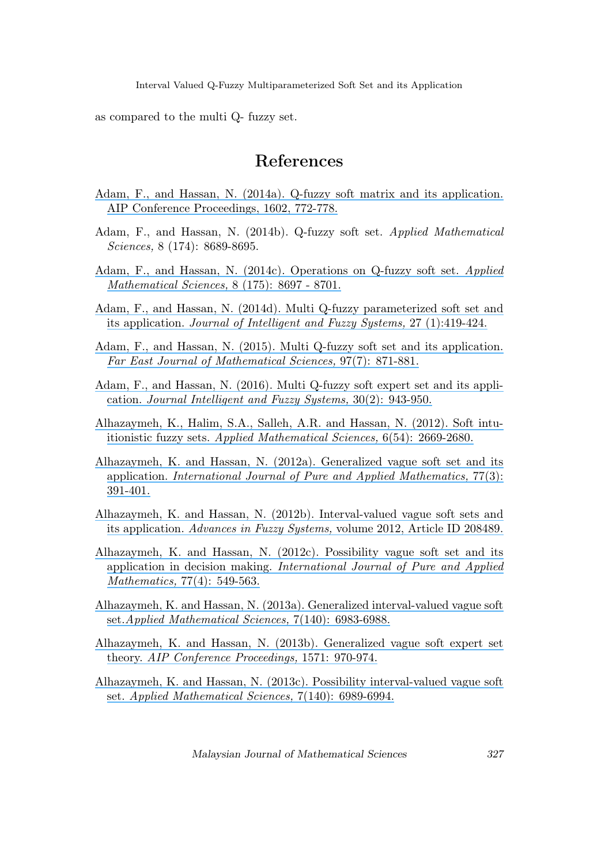as compared to the multi Q- fuzzy set.

#### References

- [Adam, F., and Hassan, N. \(2014a\). Q-fuzzy soft matrix and its application.](https://www.researchgate.net/publication/263300093_Q-fuzzy_soft_matrix_and_its_application?el=1_x_8&enrichId=rgreq-a85eaef8a31cb718b8247fb7d0a9a68e-XXX&enrichSource=Y292ZXJQYWdlOzMxMDU1ODk1MDtBUzo0MzA0NTg4OTE3MDYzNzFAMTQ3OTY0MDgwNTYwNg==) [AIP Conference Proceedings, 1602, 772-778.](https://www.researchgate.net/publication/263300093_Q-fuzzy_soft_matrix_and_its_application?el=1_x_8&enrichId=rgreq-a85eaef8a31cb718b8247fb7d0a9a68e-XXX&enrichSource=Y292ZXJQYWdlOzMxMDU1ODk1MDtBUzo0MzA0NTg4OTE3MDYzNzFAMTQ3OTY0MDgwNTYwNg==)
- Adam, F., and Hassan, N. (2014b). Q-fuzzy soft set. Applied Mathematical Sciences, 8 (174): 8689-8695.
- [Adam, F., and Hassan, N. \(2014c\). Operations on Q-fuzzy soft set.](https://www.researchgate.net/publication/270575470_Operations_on_Q-Fuzzy_Soft_Set?el=1_x_8&enrichId=rgreq-a85eaef8a31cb718b8247fb7d0a9a68e-XXX&enrichSource=Y292ZXJQYWdlOzMxMDU1ODk1MDtBUzo0MzA0NTg4OTE3MDYzNzFAMTQ3OTY0MDgwNTYwNg==) Applied [Mathematical Sciences,](https://www.researchgate.net/publication/270575470_Operations_on_Q-Fuzzy_Soft_Set?el=1_x_8&enrichId=rgreq-a85eaef8a31cb718b8247fb7d0a9a68e-XXX&enrichSource=Y292ZXJQYWdlOzMxMDU1ODk1MDtBUzo0MzA0NTg4OTE3MDYzNzFAMTQ3OTY0MDgwNTYwNg==) 8 (175): 8697 - 8701.
- [Adam, F., and Hassan, N. \(2014d\). Multi Q-fuzzy parameterized soft set and](https://www.researchgate.net/publication/264388491_Multi_Q-fuzzy_parameterized_soft_set_and_its_application?el=1_x_8&enrichId=rgreq-a85eaef8a31cb718b8247fb7d0a9a68e-XXX&enrichSource=Y292ZXJQYWdlOzMxMDU1ODk1MDtBUzo0MzA0NTg4OTE3MDYzNzFAMTQ3OTY0MDgwNTYwNg==) its application. [Journal of Intelligent and Fuzzy Systems,](https://www.researchgate.net/publication/264388491_Multi_Q-fuzzy_parameterized_soft_set_and_its_application?el=1_x_8&enrichId=rgreq-a85eaef8a31cb718b8247fb7d0a9a68e-XXX&enrichSource=Y292ZXJQYWdlOzMxMDU1ODk1MDtBUzo0MzA0NTg4OTE3MDYzNzFAMTQ3OTY0MDgwNTYwNg==) 27 (1):419-424.
- [Adam, F., and Hassan, N. \(2015\). Multi Q-fuzzy soft set and its application.](https://www.researchgate.net/publication/279299183_Multi_Q-Fuzzy_Soft_Set_and_Its_Application?el=1_x_8&enrichId=rgreq-a85eaef8a31cb718b8247fb7d0a9a68e-XXX&enrichSource=Y292ZXJQYWdlOzMxMDU1ODk1MDtBUzo0MzA0NTg4OTE3MDYzNzFAMTQ3OTY0MDgwNTYwNg==) [Far East Journal of Mathematical Sciences,](https://www.researchgate.net/publication/279299183_Multi_Q-Fuzzy_Soft_Set_and_Its_Application?el=1_x_8&enrichId=rgreq-a85eaef8a31cb718b8247fb7d0a9a68e-XXX&enrichSource=Y292ZXJQYWdlOzMxMDU1ODk1MDtBUzo0MzA0NTg4OTE3MDYzNzFAMTQ3OTY0MDgwNTYwNg==) 97(7): 871-881.
- [Adam, F., and Hassan, N. \(2016\). Multi Q-fuzzy soft expert set and its appli](https://www.researchgate.net/publication/294581261_Multi_Q-Fuzzy_Soft_Expert_Set_and_its_Applications?el=1_x_8&enrichId=rgreq-a85eaef8a31cb718b8247fb7d0a9a68e-XXX&enrichSource=Y292ZXJQYWdlOzMxMDU1ODk1MDtBUzo0MzA0NTg4OTE3MDYzNzFAMTQ3OTY0MDgwNTYwNg==)cation. [Journal Intelligent and Fuzzy Systems,](https://www.researchgate.net/publication/294581261_Multi_Q-Fuzzy_Soft_Expert_Set_and_its_Applications?el=1_x_8&enrichId=rgreq-a85eaef8a31cb718b8247fb7d0a9a68e-XXX&enrichSource=Y292ZXJQYWdlOzMxMDU1ODk1MDtBUzo0MzA0NTg4OTE3MDYzNzFAMTQ3OTY0MDgwNTYwNg==) 30(2): 943-950.
- [Alhazaymeh, K., Halim, S.A., Salleh, A.R. and Hassan, N. \(2012\). Soft intu](https://www.researchgate.net/publication/235631431_Soft_Intuitionistic_Fuzzy_Sets?el=1_x_8&enrichId=rgreq-a85eaef8a31cb718b8247fb7d0a9a68e-XXX&enrichSource=Y292ZXJQYWdlOzMxMDU1ODk1MDtBUzo0MzA0NTg4OTE3MDYzNzFAMTQ3OTY0MDgwNTYwNg==)itionistic fuzzy sets. [Applied Mathematical Sciences,](https://www.researchgate.net/publication/235631431_Soft_Intuitionistic_Fuzzy_Sets?el=1_x_8&enrichId=rgreq-a85eaef8a31cb718b8247fb7d0a9a68e-XXX&enrichSource=Y292ZXJQYWdlOzMxMDU1ODk1MDtBUzo0MzA0NTg4OTE3MDYzNzFAMTQ3OTY0MDgwNTYwNg==) 6(54): 2669-2680.
- [Alhazaymeh, K. and Hassan, N. \(2012a\). Generalized vague soft set and its](https://www.researchgate.net/publication/235631414_Generalized_Vague_Soft_Set_and_Its_Application?el=1_x_8&enrichId=rgreq-a85eaef8a31cb718b8247fb7d0a9a68e-XXX&enrichSource=Y292ZXJQYWdlOzMxMDU1ODk1MDtBUzo0MzA0NTg4OTE3MDYzNzFAMTQ3OTY0MDgwNTYwNg==) application. [International Journal of Pure and Applied Mathematics,](https://www.researchgate.net/publication/235631414_Generalized_Vague_Soft_Set_and_Its_Application?el=1_x_8&enrichId=rgreq-a85eaef8a31cb718b8247fb7d0a9a68e-XXX&enrichSource=Y292ZXJQYWdlOzMxMDU1ODk1MDtBUzo0MzA0NTg4OTE3MDYzNzFAMTQ3OTY0MDgwNTYwNg==) 77(3): [391-401.](https://www.researchgate.net/publication/235631414_Generalized_Vague_Soft_Set_and_Its_Application?el=1_x_8&enrichId=rgreq-a85eaef8a31cb718b8247fb7d0a9a68e-XXX&enrichSource=Y292ZXJQYWdlOzMxMDU1ODk1MDtBUzo0MzA0NTg4OTE3MDYzNzFAMTQ3OTY0MDgwNTYwNg==)
- [Alhazaymeh, K. and Hassan, N. \(2012b\). Interval-valued vague soft sets and](https://www.researchgate.net/publication/235684222_Interval-Valued_Vague_Soft_Sets_and_Its_Application?el=1_x_8&enrichId=rgreq-a85eaef8a31cb718b8247fb7d0a9a68e-XXX&enrichSource=Y292ZXJQYWdlOzMxMDU1ODk1MDtBUzo0MzA0NTg4OTE3MDYzNzFAMTQ3OTY0MDgwNTYwNg==) its application. Advances in Fuzzy Systems, [volume 2012, Article ID 208489.](https://www.researchgate.net/publication/235684222_Interval-Valued_Vague_Soft_Sets_and_Its_Application?el=1_x_8&enrichId=rgreq-a85eaef8a31cb718b8247fb7d0a9a68e-XXX&enrichSource=Y292ZXJQYWdlOzMxMDU1ODk1MDtBUzo0MzA0NTg4OTE3MDYzNzFAMTQ3OTY0MDgwNTYwNg==)
- [Alhazaymeh, K. and Hassan, N. \(2012c\). Possibility vague soft set and its](https://www.researchgate.net/publication/235631402_Possibility_Vague_Soft_Set_and_Its_Application_In_Decision_Making?el=1_x_8&enrichId=rgreq-a85eaef8a31cb718b8247fb7d0a9a68e-XXX&enrichSource=Y292ZXJQYWdlOzMxMDU1ODk1MDtBUzo0MzA0NTg4OTE3MDYzNzFAMTQ3OTY0MDgwNTYwNg==) application in decision making. [International Journal of Pure and Applied](https://www.researchgate.net/publication/235631402_Possibility_Vague_Soft_Set_and_Its_Application_In_Decision_Making?el=1_x_8&enrichId=rgreq-a85eaef8a31cb718b8247fb7d0a9a68e-XXX&enrichSource=Y292ZXJQYWdlOzMxMDU1ODk1MDtBUzo0MzA0NTg4OTE3MDYzNzFAMTQ3OTY0MDgwNTYwNg==) Mathematics, [77\(4\): 549-563.](https://www.researchgate.net/publication/235631402_Possibility_Vague_Soft_Set_and_Its_Application_In_Decision_Making?el=1_x_8&enrichId=rgreq-a85eaef8a31cb718b8247fb7d0a9a68e-XXX&enrichSource=Y292ZXJQYWdlOzMxMDU1ODk1MDtBUzo0MzA0NTg4OTE3MDYzNzFAMTQ3OTY0MDgwNTYwNg==)
- [Alhazaymeh, K. and Hassan, N. \(2013a\). Generalized interval-valued vague soft](https://www.researchgate.net/publication/259563394_Generalized_Interval-Valued_Vague_Soft_Set?el=1_x_8&enrichId=rgreq-a85eaef8a31cb718b8247fb7d0a9a68e-XXX&enrichSource=Y292ZXJQYWdlOzMxMDU1ODk1MDtBUzo0MzA0NTg4OTE3MDYzNzFAMTQ3OTY0MDgwNTYwNg==) set.[Applied Mathematical Sciences,](https://www.researchgate.net/publication/259563394_Generalized_Interval-Valued_Vague_Soft_Set?el=1_x_8&enrichId=rgreq-a85eaef8a31cb718b8247fb7d0a9a68e-XXX&enrichSource=Y292ZXJQYWdlOzMxMDU1ODk1MDtBUzo0MzA0NTg4OTE3MDYzNzFAMTQ3OTY0MDgwNTYwNg==) 7(140): 6983-6988.
- [Alhazaymeh, K. and Hassan, N. \(2013b\). Generalized vague soft expert set](https://www.researchgate.net/publication/259563554_Generalized_Vague_Soft_Expert_Set_Theory?el=1_x_8&enrichId=rgreq-a85eaef8a31cb718b8247fb7d0a9a68e-XXX&enrichSource=Y292ZXJQYWdlOzMxMDU1ODk1MDtBUzo0MzA0NTg4OTE3MDYzNzFAMTQ3OTY0MDgwNTYwNg==) theory. [AIP Conference Proceedings,](https://www.researchgate.net/publication/259563554_Generalized_Vague_Soft_Expert_Set_Theory?el=1_x_8&enrichId=rgreq-a85eaef8a31cb718b8247fb7d0a9a68e-XXX&enrichSource=Y292ZXJQYWdlOzMxMDU1ODk1MDtBUzo0MzA0NTg4OTE3MDYzNzFAMTQ3OTY0MDgwNTYwNg==) 1571: 970-974.
- [Alhazaymeh, K. and Hassan, N. \(2013c\). Possibility interval-valued vague soft](https://www.researchgate.net/publication/259563545_Possibility_Interval-Valued_Vague_Soft_Set?el=1_x_8&enrichId=rgreq-a85eaef8a31cb718b8247fb7d0a9a68e-XXX&enrichSource=Y292ZXJQYWdlOzMxMDU1ODk1MDtBUzo0MzA0NTg4OTE3MDYzNzFAMTQ3OTY0MDgwNTYwNg==) set. [Applied Mathematical Sciences,](https://www.researchgate.net/publication/259563545_Possibility_Interval-Valued_Vague_Soft_Set?el=1_x_8&enrichId=rgreq-a85eaef8a31cb718b8247fb7d0a9a68e-XXX&enrichSource=Y292ZXJQYWdlOzMxMDU1ODk1MDtBUzo0MzA0NTg4OTE3MDYzNzFAMTQ3OTY0MDgwNTYwNg==) 7(140): 6989-6994.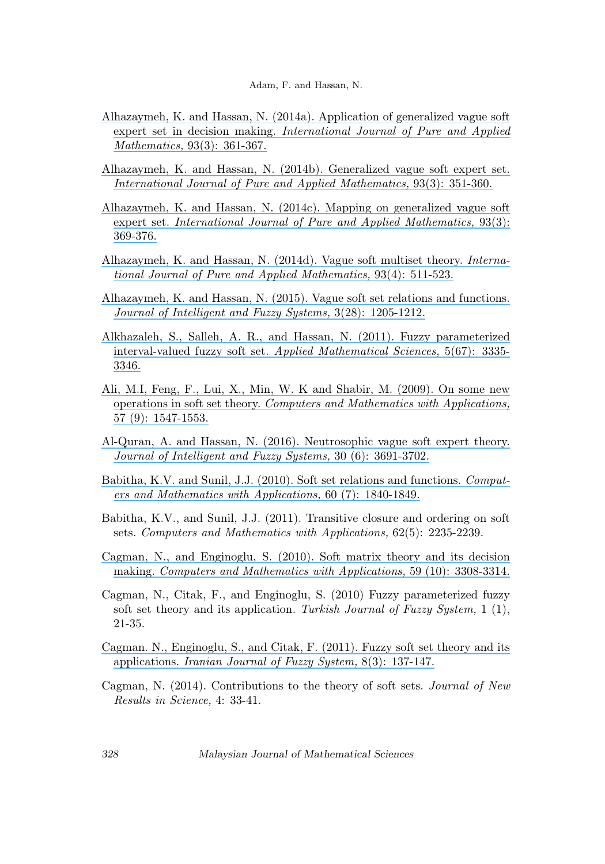- [Alhazaymeh, K. and Hassan, N. \(2014a\). Application of generalized vague soft](https://www.researchgate.net/publication/262973802_Application_of_generalized_vague_soft_expert_set_in_decision_making?el=1_x_8&enrichId=rgreq-a85eaef8a31cb718b8247fb7d0a9a68e-XXX&enrichSource=Y292ZXJQYWdlOzMxMDU1ODk1MDtBUzo0MzA0NTg4OTE3MDYzNzFAMTQ3OTY0MDgwNTYwNg==) expert set in decision making. [International Journal of Pure and Applied](https://www.researchgate.net/publication/262973802_Application_of_generalized_vague_soft_expert_set_in_decision_making?el=1_x_8&enrichId=rgreq-a85eaef8a31cb718b8247fb7d0a9a68e-XXX&enrichSource=Y292ZXJQYWdlOzMxMDU1ODk1MDtBUzo0MzA0NTg4OTE3MDYzNzFAMTQ3OTY0MDgwNTYwNg==) Mathematics, [93\(3\): 361-367.](https://www.researchgate.net/publication/262973802_Application_of_generalized_vague_soft_expert_set_in_decision_making?el=1_x_8&enrichId=rgreq-a85eaef8a31cb718b8247fb7d0a9a68e-XXX&enrichSource=Y292ZXJQYWdlOzMxMDU1ODk1MDtBUzo0MzA0NTg4OTE3MDYzNzFAMTQ3OTY0MDgwNTYwNg==)
- [Alhazaymeh, K. and Hassan, N. \(2014b\). Generalized vague soft expert set.](https://www.researchgate.net/publication/262974018_Generalized_vague_soft_expert_set?el=1_x_8&enrichId=rgreq-a85eaef8a31cb718b8247fb7d0a9a68e-XXX&enrichSource=Y292ZXJQYWdlOzMxMDU1ODk1MDtBUzo0MzA0NTg4OTE3MDYzNzFAMTQ3OTY0MDgwNTYwNg==) [International Journal of Pure and Applied Mathematics,](https://www.researchgate.net/publication/262974018_Generalized_vague_soft_expert_set?el=1_x_8&enrichId=rgreq-a85eaef8a31cb718b8247fb7d0a9a68e-XXX&enrichSource=Y292ZXJQYWdlOzMxMDU1ODk1MDtBUzo0MzA0NTg4OTE3MDYzNzFAMTQ3OTY0MDgwNTYwNg==) 93(3): 351-360.
- [Alhazaymeh, K. and Hassan, N. \(2014c\). Mapping on generalized vague soft](https://www.researchgate.net/publication/262973809_Mapping_on_generalized_vague_soft_expert_set?el=1_x_8&enrichId=rgreq-a85eaef8a31cb718b8247fb7d0a9a68e-XXX&enrichSource=Y292ZXJQYWdlOzMxMDU1ODk1MDtBUzo0MzA0NTg4OTE3MDYzNzFAMTQ3OTY0MDgwNTYwNg==) expert set. [International Journal of Pure and Applied Mathematics,](https://www.researchgate.net/publication/262973809_Mapping_on_generalized_vague_soft_expert_set?el=1_x_8&enrichId=rgreq-a85eaef8a31cb718b8247fb7d0a9a68e-XXX&enrichSource=Y292ZXJQYWdlOzMxMDU1ODk1MDtBUzo0MzA0NTg4OTE3MDYzNzFAMTQ3OTY0MDgwNTYwNg==) 93(3): [369-376.](https://www.researchgate.net/publication/262973809_Mapping_on_generalized_vague_soft_expert_set?el=1_x_8&enrichId=rgreq-a85eaef8a31cb718b8247fb7d0a9a68e-XXX&enrichSource=Y292ZXJQYWdlOzMxMDU1ODk1MDtBUzo0MzA0NTg4OTE3MDYzNzFAMTQ3OTY0MDgwNTYwNg==)
- [Alhazaymeh, K. and Hassan, N. \(2014d\). Vague soft multiset theory.](https://www.researchgate.net/publication/262973812_Vague_soft_multiset_theory?el=1_x_8&enrichId=rgreq-a85eaef8a31cb718b8247fb7d0a9a68e-XXX&enrichSource=Y292ZXJQYWdlOzMxMDU1ODk1MDtBUzo0MzA0NTg4OTE3MDYzNzFAMTQ3OTY0MDgwNTYwNg==) Interna[tional Journal of Pure and Applied Mathematics,](https://www.researchgate.net/publication/262973812_Vague_soft_multiset_theory?el=1_x_8&enrichId=rgreq-a85eaef8a31cb718b8247fb7d0a9a68e-XXX&enrichSource=Y292ZXJQYWdlOzMxMDU1ODk1MDtBUzo0MzA0NTg4OTE3MDYzNzFAMTQ3OTY0MDgwNTYwNg==) 93(4): 511-523.
- [Alhazaymeh, K. and Hassan, N. \(2015\). Vague soft set relations and functions.](https://www.researchgate.net/publication/272505971_Vague_soft_set_relations_and_functions?el=1_x_8&enrichId=rgreq-a85eaef8a31cb718b8247fb7d0a9a68e-XXX&enrichSource=Y292ZXJQYWdlOzMxMDU1ODk1MDtBUzo0MzA0NTg4OTE3MDYzNzFAMTQ3OTY0MDgwNTYwNg==) [Journal of Intelligent and Fuzzy Systems,](https://www.researchgate.net/publication/272505971_Vague_soft_set_relations_and_functions?el=1_x_8&enrichId=rgreq-a85eaef8a31cb718b8247fb7d0a9a68e-XXX&enrichSource=Y292ZXJQYWdlOzMxMDU1ODk1MDtBUzo0MzA0NTg4OTE3MDYzNzFAMTQ3OTY0MDgwNTYwNg==) 3(28): 1205-1212.
- [Alkhazaleh, S., Salleh, A. R., and Hassan, N. \(2011\). Fuzzy parameterized](https://www.researchgate.net/publication/235631541_Fuzzy_parameterized_interval-valued_fuzzy_soft_set?el=1_x_8&enrichId=rgreq-a85eaef8a31cb718b8247fb7d0a9a68e-XXX&enrichSource=Y292ZXJQYWdlOzMxMDU1ODk1MDtBUzo0MzA0NTg4OTE3MDYzNzFAMTQ3OTY0MDgwNTYwNg==) interval-valued fuzzy soft set. [Applied Mathematical Sciences,](https://www.researchgate.net/publication/235631541_Fuzzy_parameterized_interval-valued_fuzzy_soft_set?el=1_x_8&enrichId=rgreq-a85eaef8a31cb718b8247fb7d0a9a68e-XXX&enrichSource=Y292ZXJQYWdlOzMxMDU1ODk1MDtBUzo0MzA0NTg4OTE3MDYzNzFAMTQ3OTY0MDgwNTYwNg==) 5(67): 3335- [3346.](https://www.researchgate.net/publication/235631541_Fuzzy_parameterized_interval-valued_fuzzy_soft_set?el=1_x_8&enrichId=rgreq-a85eaef8a31cb718b8247fb7d0a9a68e-XXX&enrichSource=Y292ZXJQYWdlOzMxMDU1ODk1MDtBUzo0MzA0NTg4OTE3MDYzNzFAMTQ3OTY0MDgwNTYwNg==)
- [Ali, M.I, Feng, F., Lui, X., Min, W. K and Shabir, M. \(2009\). On some new](https://www.researchgate.net/publication/220510798_On_some_new_operations_in_soft_set_theory?el=1_x_8&enrichId=rgreq-a85eaef8a31cb718b8247fb7d0a9a68e-XXX&enrichSource=Y292ZXJQYWdlOzMxMDU1ODk1MDtBUzo0MzA0NTg4OTE3MDYzNzFAMTQ3OTY0MDgwNTYwNg==) operations in soft set theory. [Computers and Mathematics with Applications,](https://www.researchgate.net/publication/220510798_On_some_new_operations_in_soft_set_theory?el=1_x_8&enrichId=rgreq-a85eaef8a31cb718b8247fb7d0a9a68e-XXX&enrichSource=Y292ZXJQYWdlOzMxMDU1ODk1MDtBUzo0MzA0NTg4OTE3MDYzNzFAMTQ3OTY0MDgwNTYwNg==) [57 \(9\): 1547-1553.](https://www.researchgate.net/publication/220510798_On_some_new_operations_in_soft_set_theory?el=1_x_8&enrichId=rgreq-a85eaef8a31cb718b8247fb7d0a9a68e-XXX&enrichSource=Y292ZXJQYWdlOzMxMDU1ODk1MDtBUzo0MzA0NTg4OTE3MDYzNzFAMTQ3OTY0MDgwNTYwNg==)
- [Al-Quran, A. and Hassan, N. \(2016\). Neutrosophic vague soft expert theory.](https://www.researchgate.net/publication/301560559_Neutrosophic_vague_soft_expert_set_theory?el=1_x_8&enrichId=rgreq-a85eaef8a31cb718b8247fb7d0a9a68e-XXX&enrichSource=Y292ZXJQYWdlOzMxMDU1ODk1MDtBUzo0MzA0NTg4OTE3MDYzNzFAMTQ3OTY0MDgwNTYwNg==) [Journal of Intelligent and Fuzzy Systems,](https://www.researchgate.net/publication/301560559_Neutrosophic_vague_soft_expert_set_theory?el=1_x_8&enrichId=rgreq-a85eaef8a31cb718b8247fb7d0a9a68e-XXX&enrichSource=Y292ZXJQYWdlOzMxMDU1ODk1MDtBUzo0MzA0NTg4OTE3MDYzNzFAMTQ3OTY0MDgwNTYwNg==) 30 (6): 3691-3702.
- [Babitha, K.V. and Sunil, J.J. \(2010\). Soft set relations and functions.](https://www.researchgate.net/publication/209914133_Soft_set_relations_and_functions?el=1_x_8&enrichId=rgreq-a85eaef8a31cb718b8247fb7d0a9a68e-XXX&enrichSource=Y292ZXJQYWdlOzMxMDU1ODk1MDtBUzo0MzA0NTg4OTE3MDYzNzFAMTQ3OTY0MDgwNTYwNg==) Comput[ers and Mathematics with Applications,](https://www.researchgate.net/publication/209914133_Soft_set_relations_and_functions?el=1_x_8&enrichId=rgreq-a85eaef8a31cb718b8247fb7d0a9a68e-XXX&enrichSource=Y292ZXJQYWdlOzMxMDU1ODk1MDtBUzo0MzA0NTg4OTE3MDYzNzFAMTQ3OTY0MDgwNTYwNg==) 60 (7): 1840-1849.
- Babitha, K.V., and Sunil, J.J. (2011). Transitive closure and ordering on soft sets. Computers and Mathematics with Applications, 62(5): 2235-2239.
- [Cagman, N., and Enginoglu, S. \(2010\). Soft matrix theory and its decision](https://www.researchgate.net/publication/220513331_Soft_matrix_theory_and_its_decision_making?el=1_x_8&enrichId=rgreq-a85eaef8a31cb718b8247fb7d0a9a68e-XXX&enrichSource=Y292ZXJQYWdlOzMxMDU1ODk1MDtBUzo0MzA0NTg4OTE3MDYzNzFAMTQ3OTY0MDgwNTYwNg==) making. [Computers and Mathematics with Applications,](https://www.researchgate.net/publication/220513331_Soft_matrix_theory_and_its_decision_making?el=1_x_8&enrichId=rgreq-a85eaef8a31cb718b8247fb7d0a9a68e-XXX&enrichSource=Y292ZXJQYWdlOzMxMDU1ODk1MDtBUzo0MzA0NTg4OTE3MDYzNzFAMTQ3OTY0MDgwNTYwNg==) 59 (10): 3308-3314.
- Cagman, N., Citak, F., and Enginoglu, S. (2010) Fuzzy parameterized fuzzy soft set theory and its application. Turkish Journal of Fuzzy System,  $1\ (1),$ 21-35.
- [Cagman. N., Enginoglu, S., and Citak, F. \(2011\). Fuzzy soft set theory and its](https://www.researchgate.net/publication/284689954_FP-soft_set_theory_and_its_applications?el=1_x_8&enrichId=rgreq-a85eaef8a31cb718b8247fb7d0a9a68e-XXX&enrichSource=Y292ZXJQYWdlOzMxMDU1ODk1MDtBUzo0MzA0NTg4OTE3MDYzNzFAMTQ3OTY0MDgwNTYwNg==) applications. [Iranian Journal of Fuzzy System,](https://www.researchgate.net/publication/284689954_FP-soft_set_theory_and_its_applications?el=1_x_8&enrichId=rgreq-a85eaef8a31cb718b8247fb7d0a9a68e-XXX&enrichSource=Y292ZXJQYWdlOzMxMDU1ODk1MDtBUzo0MzA0NTg4OTE3MDYzNzFAMTQ3OTY0MDgwNTYwNg==) 8(3): 137-147.
- Cagman, N. (2014). Contributions to the theory of soft sets. Journal of New Results in Science, 4: 33-41.